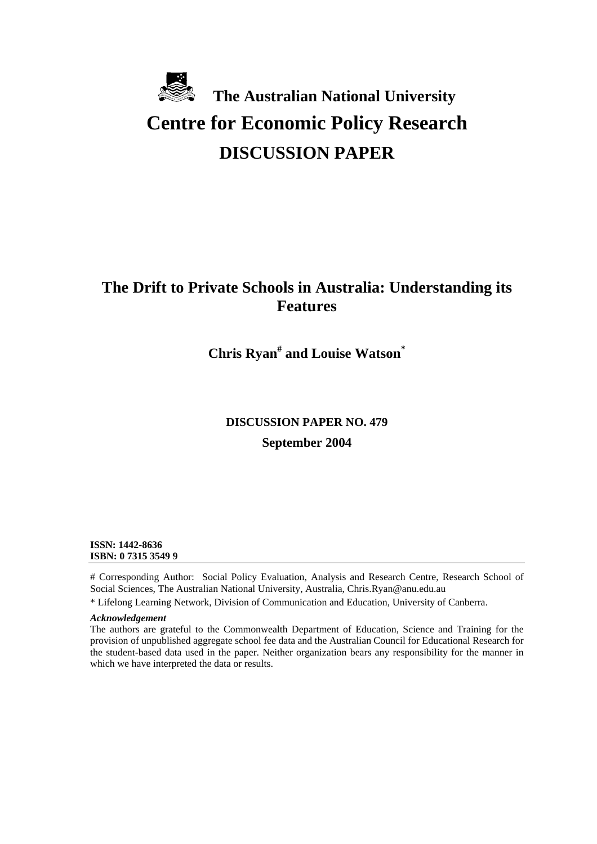# **The Australian National University Centre for Economic Policy Research DISCUSSION PAPER**

## **The Drift to Private Schools in Australia: Understanding its Features**

**Chris Ryan# and Louise Watson\***

# **DISCUSSION PAPER NO. 479 September 2004**

**ISSN: 1442-8636 ISBN: 0 7315 3549 9** 

# Corresponding Author: Social Policy Evaluation, Analysis and Research Centre, Research School of Social Sciences, The Australian National University, Australia, Chris.Ryan@anu.edu.au

\* Lifelong Learning Network, Division of Communication and Education, University of Canberra.

#### *Acknowledgement*

The authors are grateful to the Commonwealth Department of Education, Science and Training for the provision of unpublished aggregate school fee data and the Australian Council for Educational Research for the student-based data used in the paper. Neither organization bears any responsibility for the manner in which we have interpreted the data or results.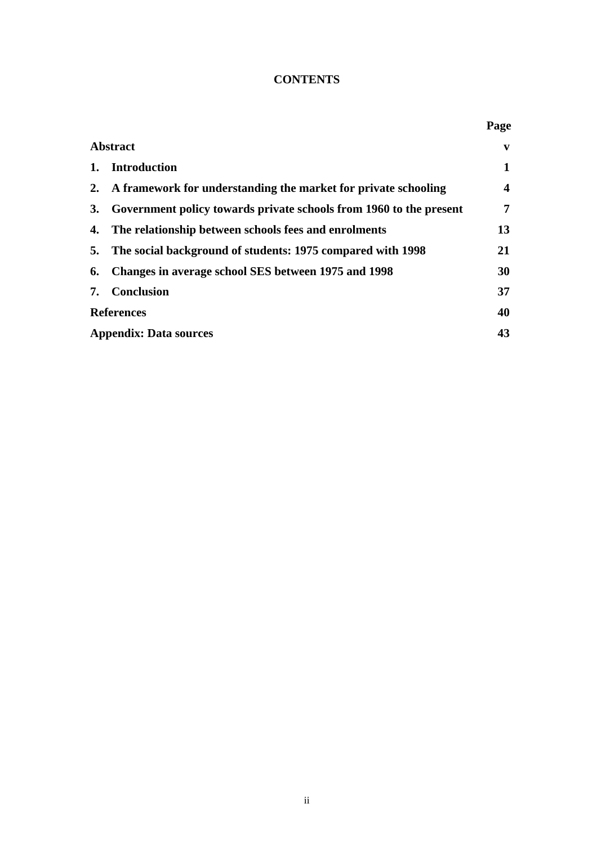## **CONTENTS**

|                               |                                                                    | Page                    |
|-------------------------------|--------------------------------------------------------------------|-------------------------|
| <b>Abstract</b>               |                                                                    |                         |
| 1.                            | Introduction                                                       | 1                       |
| $2_{\cdot}$                   | A framework for understanding the market for private schooling     | $\overline{\mathbf{4}}$ |
| <b>3.</b>                     | Government policy towards private schools from 1960 to the present | 7                       |
| 4.                            | The relationship between schools fees and enrolments               | 13                      |
| 5.                            | The social background of students: 1975 compared with 1998         | 21                      |
| 6.                            | Changes in average school SES between 1975 and 1998                | 30                      |
| 7.                            | <b>Conclusion</b>                                                  | 37                      |
| <b>References</b>             |                                                                    | 40                      |
| <b>Appendix: Data sources</b> |                                                                    |                         |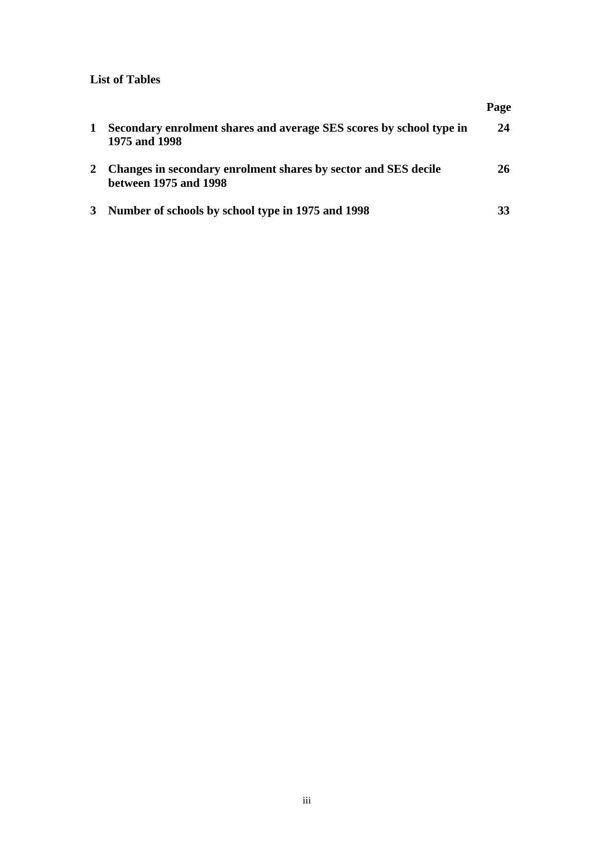### **List of Tables**

|   |                                                                                         | Page |
|---|-----------------------------------------------------------------------------------------|------|
| 1 | Secondary enrolment shares and average SES scores by school type in<br>1975 and 1998    | 24   |
|   | Changes in secondary enrolment shares by sector and SES decile<br>between 1975 and 1998 | 26   |
|   | Number of schools by school type in 1975 and 1998                                       |      |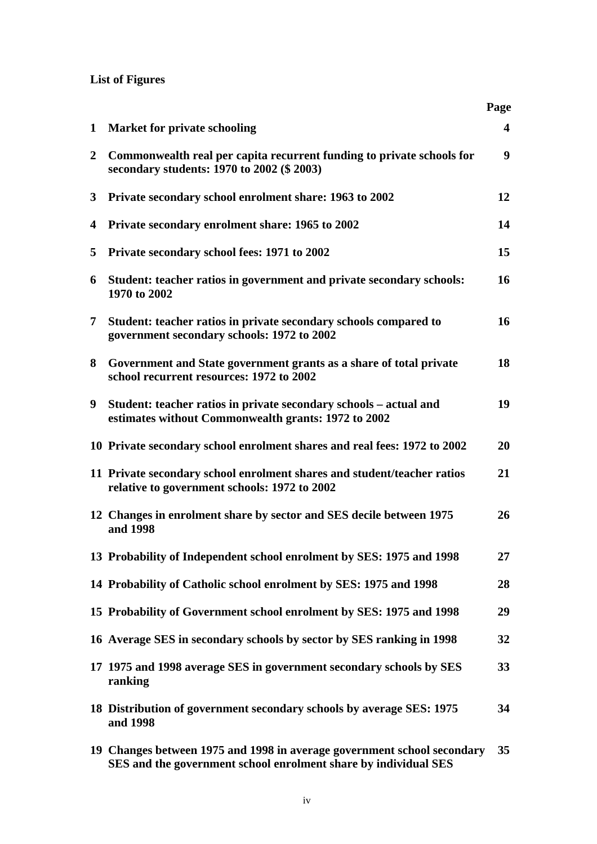## **List of Figures**

|                |                                                                                                                                            | Page                    |
|----------------|--------------------------------------------------------------------------------------------------------------------------------------------|-------------------------|
| $\mathbf{1}$   | <b>Market for private schooling</b>                                                                                                        | $\overline{\mathbf{4}}$ |
| $\overline{2}$ | Commonwealth real per capita recurrent funding to private schools for<br>secondary students: 1970 to 2002 (\$ 2003)                        | 9                       |
| 3              | Private secondary school enrolment share: 1963 to 2002                                                                                     | 12                      |
| 4              | Private secondary enrolment share: 1965 to 2002                                                                                            | 14                      |
| 5              | Private secondary school fees: 1971 to 2002                                                                                                | 15                      |
| 6              | Student: teacher ratios in government and private secondary schools:<br>1970 to 2002                                                       | 16                      |
| $\mathbf 7$    | Student: teacher ratios in private secondary schools compared to<br>government secondary schools: 1972 to 2002                             | 16                      |
| 8              | Government and State government grants as a share of total private<br>school recurrent resources: 1972 to 2002                             | 18                      |
| 9              | Student: teacher ratios in private secondary schools - actual and<br>estimates without Commonwealth grants: 1972 to 2002                   | 19                      |
|                | 10 Private secondary school enrolment shares and real fees: 1972 to 2002                                                                   | <b>20</b>               |
|                | 11 Private secondary school enrolment shares and student/teacher ratios<br>relative to government schools: 1972 to 2002                    | 21                      |
|                | 12 Changes in enrolment share by sector and SES decile between 1975<br>and 1998                                                            | 26                      |
|                | 13 Probability of Independent school enrolment by SES: 1975 and 1998                                                                       | 27                      |
|                | 14 Probability of Catholic school enrolment by SES: 1975 and 1998                                                                          | 28                      |
|                | 15 Probability of Government school enrolment by SES: 1975 and 1998                                                                        | 29                      |
|                | 16 Average SES in secondary schools by sector by SES ranking in 1998                                                                       | 32                      |
|                | 17 1975 and 1998 average SES in government secondary schools by SES<br>ranking                                                             | 33                      |
|                | 18 Distribution of government secondary schools by average SES: 1975<br>and 1998                                                           | 34                      |
|                | 19 Changes between 1975 and 1998 in average government school secondary<br>SES and the government school enrolment share by individual SES | 35                      |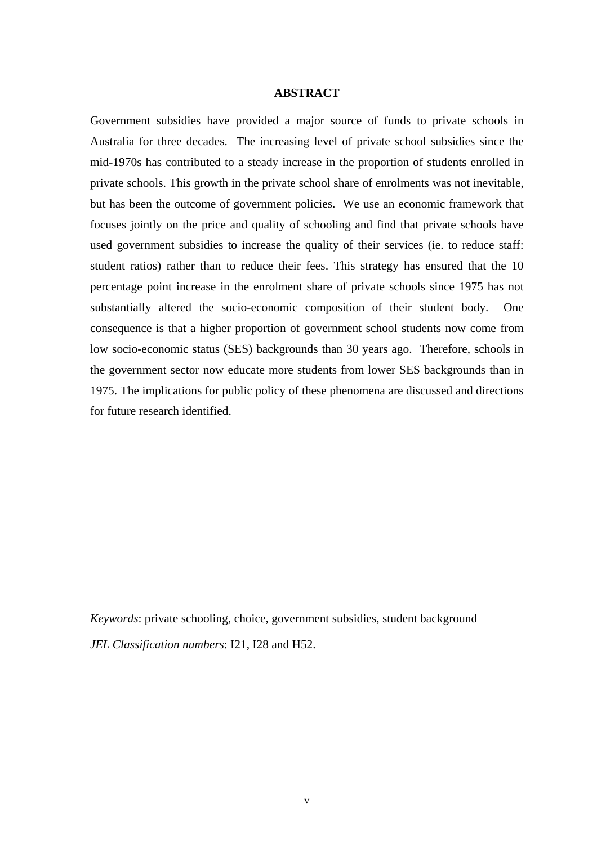#### **ABSTRACT**

Government subsidies have provided a major source of funds to private schools in Australia for three decades. The increasing level of private school subsidies since the mid-1970s has contributed to a steady increase in the proportion of students enrolled in private schools. This growth in the private school share of enrolments was not inevitable, but has been the outcome of government policies. We use an economic framework that focuses jointly on the price and quality of schooling and find that private schools have used government subsidies to increase the quality of their services (ie. to reduce staff: student ratios) rather than to reduce their fees. This strategy has ensured that the 10 percentage point increase in the enrolment share of private schools since 1975 has not substantially altered the socio-economic composition of their student body. One consequence is that a higher proportion of government school students now come from low socio-economic status (SES) backgrounds than 30 years ago. Therefore, schools in the government sector now educate more students from lower SES backgrounds than in 1975. The implications for public policy of these phenomena are discussed and directions for future research identified.

*Keywords*: private schooling, choice, government subsidies, student background *JEL Classification numbers*: I21, I28 and H52.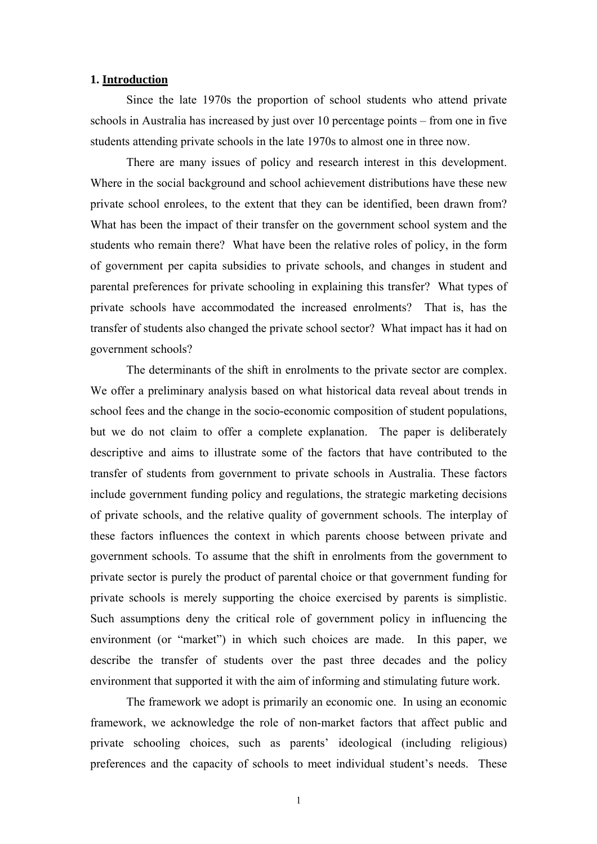#### **1. Introduction**

Since the late 1970s the proportion of school students who attend private schools in Australia has increased by just over 10 percentage points – from one in five students attending private schools in the late 1970s to almost one in three now.

There are many issues of policy and research interest in this development. Where in the social background and school achievement distributions have these new private school enrolees, to the extent that they can be identified, been drawn from? What has been the impact of their transfer on the government school system and the students who remain there? What have been the relative roles of policy, in the form of government per capita subsidies to private schools, and changes in student and parental preferences for private schooling in explaining this transfer? What types of private schools have accommodated the increased enrolments? That is, has the transfer of students also changed the private school sector? What impact has it had on government schools?

The determinants of the shift in enrolments to the private sector are complex. We offer a preliminary analysis based on what historical data reveal about trends in school fees and the change in the socio-economic composition of student populations, but we do not claim to offer a complete explanation. The paper is deliberately descriptive and aims to illustrate some of the factors that have contributed to the transfer of students from government to private schools in Australia. These factors include government funding policy and regulations, the strategic marketing decisions of private schools, and the relative quality of government schools. The interplay of these factors influences the context in which parents choose between private and government schools. To assume that the shift in enrolments from the government to private sector is purely the product of parental choice or that government funding for private schools is merely supporting the choice exercised by parents is simplistic. Such assumptions deny the critical role of government policy in influencing the environment (or "market") in which such choices are made. In this paper, we describe the transfer of students over the past three decades and the policy environment that supported it with the aim of informing and stimulating future work.

The framework we adopt is primarily an economic one. In using an economic framework, we acknowledge the role of non-market factors that affect public and private schooling choices, such as parents' ideological (including religious) preferences and the capacity of schools to meet individual student's needs. These

1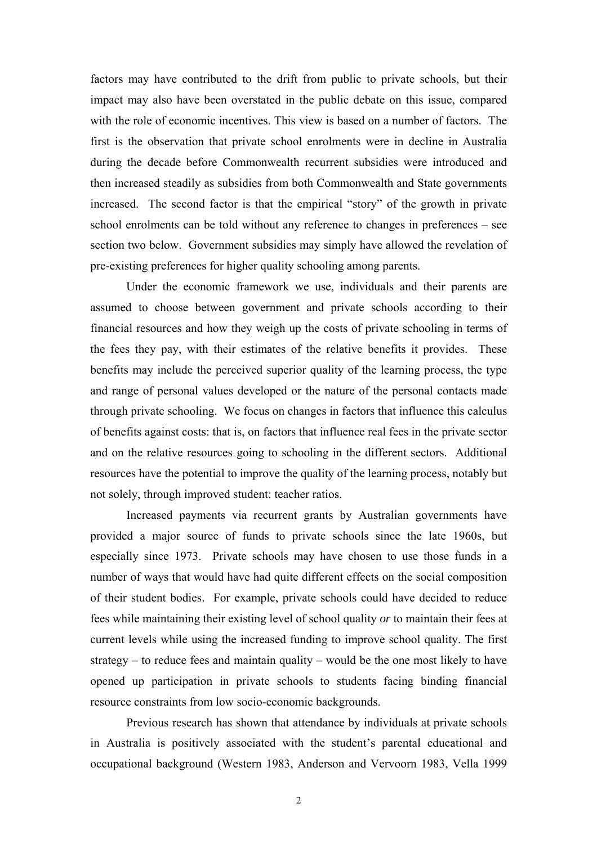factors may have contributed to the drift from public to private schools, but their impact may also have been overstated in the public debate on this issue, compared with the role of economic incentives. This view is based on a number of factors. The first is the observation that private school enrolments were in decline in Australia during the decade before Commonwealth recurrent subsidies were introduced and then increased steadily as subsidies from both Commonwealth and State governments increased. The second factor is that the empirical "story" of the growth in private school enrolments can be told without any reference to changes in preferences – see section two below. Government subsidies may simply have allowed the revelation of pre-existing preferences for higher quality schooling among parents.

Under the economic framework we use, individuals and their parents are assumed to choose between government and private schools according to their financial resources and how they weigh up the costs of private schooling in terms of the fees they pay, with their estimates of the relative benefits it provides. These benefits may include the perceived superior quality of the learning process, the type and range of personal values developed or the nature of the personal contacts made through private schooling. We focus on changes in factors that influence this calculus of benefits against costs: that is, on factors that influence real fees in the private sector and on the relative resources going to schooling in the different sectors. Additional resources have the potential to improve the quality of the learning process, notably but not solely, through improved student: teacher ratios.

Increased payments via recurrent grants by Australian governments have provided a major source of funds to private schools since the late 1960s, but especially since 1973. Private schools may have chosen to use those funds in a number of ways that would have had quite different effects on the social composition of their student bodies. For example, private schools could have decided to reduce fees while maintaining their existing level of school quality *or* to maintain their fees at current levels while using the increased funding to improve school quality. The first strategy – to reduce fees and maintain quality – would be the one most likely to have opened up participation in private schools to students facing binding financial resource constraints from low socio-economic backgrounds.

Previous research has shown that attendance by individuals at private schools in Australia is positively associated with the student's parental educational and occupational background (Western 1983, Anderson and Vervoorn 1983, Vella 1999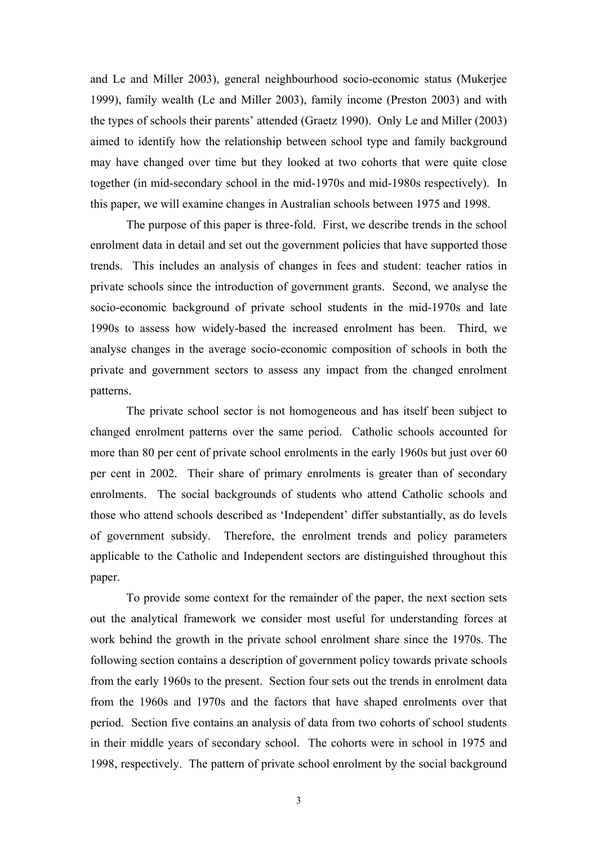and Le and Miller 2003), general neighbourhood socio-economic status (Mukerjee 1999), family wealth (Le and Miller 2003), family income (Preston 2003) and with the types of schools their parents' attended (Graetz 1990). Only Le and Miller (2003) aimed to identify how the relationship between school type and family background may have changed over time but they looked at two cohorts that were quite close together (in mid-secondary school in the mid-1970s and mid-1980s respectively). In this paper, we will examine changes in Australian schools between 1975 and 1998.

The purpose of this paper is three-fold. First, we describe trends in the school enrolment data in detail and set out the government policies that have supported those trends. This includes an analysis of changes in fees and student: teacher ratios in private schools since the introduction of government grants. Second, we analyse the socio-economic background of private school students in the mid-1970s and late 1990s to assess how widely-based the increased enrolment has been. Third, we analyse changes in the average socio-economic composition of schools in both the private and government sectors to assess any impact from the changed enrolment patterns.

The private school sector is not homogeneous and has itself been subject to changed enrolment patterns over the same period. Catholic schools accounted for more than 80 per cent of private school enrolments in the early 1960s but just over 60 per cent in 2002. Their share of primary enrolments is greater than of secondary enrolments. The social backgrounds of students who attend Catholic schools and those who attend schools described as 'Independent' differ substantially, as do levels of government subsidy. Therefore, the enrolment trends and policy parameters applicable to the Catholic and Independent sectors are distinguished throughout this paper.

To provide some context for the remainder of the paper, the next section sets out the analytical framework we consider most useful for understanding forces at work behind the growth in the private school enrolment share since the 1970s. The following section contains a description of government policy towards private schools from the early 1960s to the present. Section four sets out the trends in enrolment data from the 1960s and 1970s and the factors that have shaped enrolments over that period. Section five contains an analysis of data from two cohorts of school students in their middle years of secondary school. The cohorts were in school in 1975 and 1998, respectively. The pattern of private school enrolment by the social background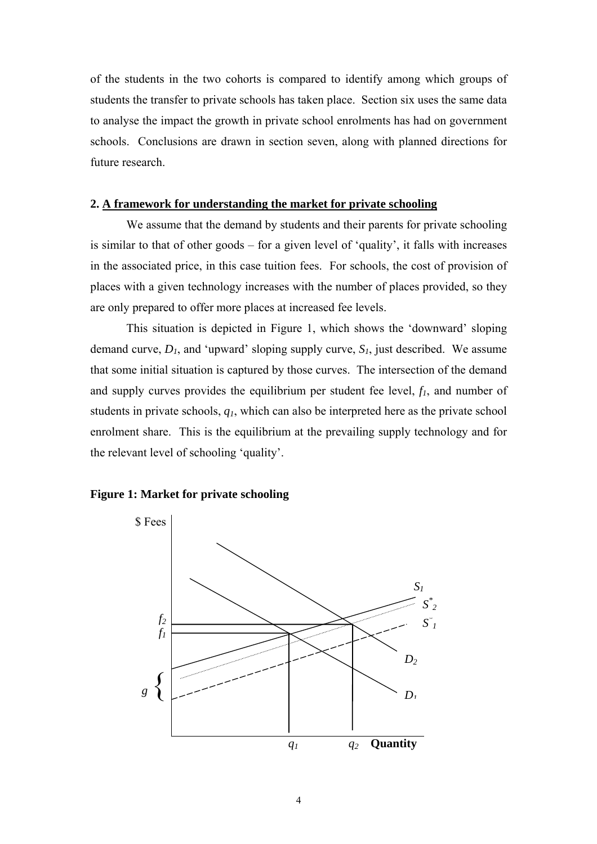of the students in the two cohorts is compared to identify among which groups of students the transfer to private schools has taken place. Section six uses the same data to analyse the impact the growth in private school enrolments has had on government schools. Conclusions are drawn in section seven, along with planned directions for future research.

#### **2. A framework for understanding the market for private schooling**

We assume that the demand by students and their parents for private schooling is similar to that of other goods – for a given level of 'quality', it falls with increases in the associated price, in this case tuition fees. For schools, the cost of provision of places with a given technology increases with the number of places provided, so they are only prepared to offer more places at increased fee levels.

This situation is depicted in Figure 1, which shows the 'downward' sloping demand curve,  $D<sub>I</sub>$ , and 'upward' sloping supply curve,  $S<sub>I</sub>$ , just described. We assume that some initial situation is captured by those curves. The intersection of the demand and supply curves provides the equilibrium per student fee level,  $f_l$ , and number of students in private schools, *q1*, which can also be interpreted here as the private school enrolment share. This is the equilibrium at the prevailing supply technology and for the relevant level of schooling 'quality'.

#### **Figure 1: Market for private schooling**

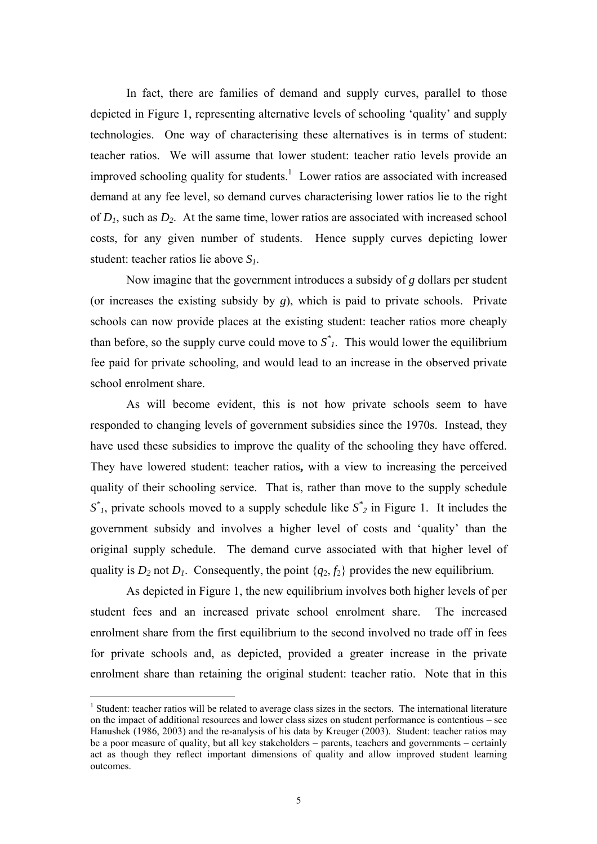In fact, there are families of demand and supply curves, parallel to those depicted in Figure 1, representing alternative levels of schooling 'quality' and supply technologies. One way of characterising these alternatives is in terms of student: teacher ratios. We will assume that lower student: teacher ratio levels provide an improved schooling quality for students.<sup>1</sup> Lower ratios are associated with increased demand at any fee level, so demand curves characterising lower ratios lie to the right of  $D_1$ , such as  $D_2$ . At the same time, lower ratios are associated with increased school costs, for any given number of students. Hence supply curves depicting lower student: teacher ratios lie above *S1*.

Now imagine that the government introduces a subsidy of *g* dollars per student (or increases the existing subsidy by *g*), which is paid to private schools. Private schools can now provide places at the existing student: teacher ratios more cheaply than before, so the supply curve could move to  $S^*$ . This would lower the equilibrium fee paid for private schooling, and would lead to an increase in the observed private school enrolment share.

As will become evident, this is not how private schools seem to have responded to changing levels of government subsidies since the 1970s. Instead, they have used these subsidies to improve the quality of the schooling they have offered. They have lowered student: teacher ratios**,** with a view to increasing the perceived quality of their schooling service. That is, rather than move to the supply schedule  $S^*$ , private schools moved to a supply schedule like  $S^*$ <sub>2</sub> in Figure 1. It includes the government subsidy and involves a higher level of costs and 'quality' than the original supply schedule. The demand curve associated with that higher level of quality is  $D_2$  not  $D_1$ . Consequently, the point  $\{q_2, f_2\}$  provides the new equilibrium.

As depicted in Figure 1, the new equilibrium involves both higher levels of per student fees and an increased private school enrolment share. The increased enrolment share from the first equilibrium to the second involved no trade off in fees for private schools and, as depicted, provided a greater increase in the private enrolment share than retaining the original student: teacher ratio. Note that in this

<span id="page-9-0"></span><sup>&</sup>lt;sup>1</sup> Student: teacher ratios will be related to average class sizes in the sectors. The international literature on the impact of additional resources and lower class sizes on student performance is contentious – see Hanushek (1986, 2003) and the re-analysis of his data by Kreuger (2003). Student: teacher ratios may be a poor measure of quality, but all key stakeholders – parents, teachers and governments – certainly act as though they reflect important dimensions of quality and allow improved student learning outcomes.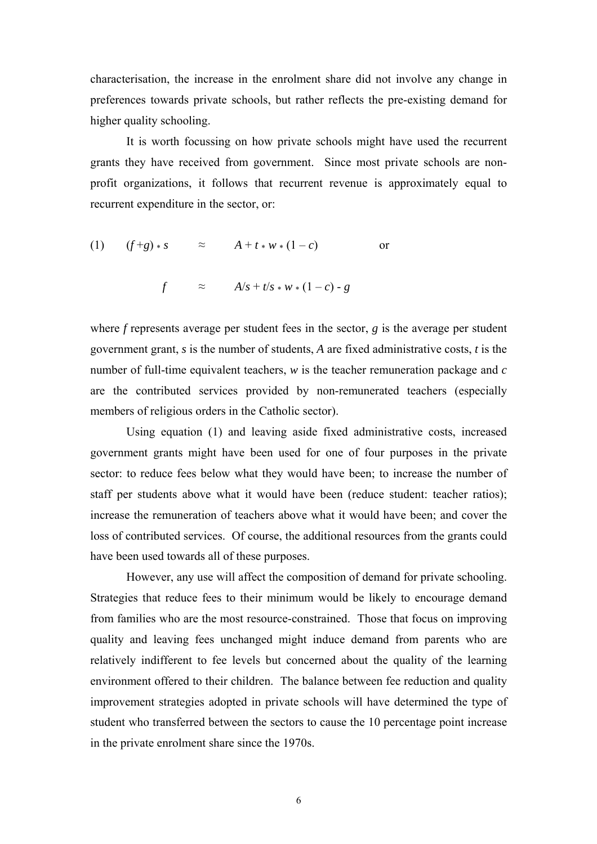characterisation, the increase in the enrolment share did not involve any change in preferences towards private schools, but rather reflects the pre-existing demand for higher quality schooling.

It is worth focussing on how private schools might have used the recurrent grants they have received from government. Since most private schools are nonprofit organizations, it follows that recurrent revenue is approximately equal to recurrent expenditure in the sector, or:

$$
(1) \t(f+g) * s \t\t \approx \t A + t * w * (1-c) \t or
$$

$$
f \qquad \approx \qquad A/s + t/s * w * (1 - c) - g
$$

where *f* represents average per student fees in the sector, *g* is the average per student government grant, *s* is the number of students, *A* are fixed administrative costs, *t* is the number of full-time equivalent teachers, *w* is the teacher remuneration package and *c* are the contributed services provided by non-remunerated teachers (especially members of religious orders in the Catholic sector).

Using equation (1) and leaving aside fixed administrative costs, increased government grants might have been used for one of four purposes in the private sector: to reduce fees below what they would have been; to increase the number of staff per students above what it would have been (reduce student: teacher ratios); increase the remuneration of teachers above what it would have been; and cover the loss of contributed services. Of course, the additional resources from the grants could have been used towards all of these purposes.

However, any use will affect the composition of demand for private schooling. Strategies that reduce fees to their minimum would be likely to encourage demand from families who are the most resource-constrained. Those that focus on improving quality and leaving fees unchanged might induce demand from parents who are relatively indifferent to fee levels but concerned about the quality of the learning environment offered to their children. The balance between fee reduction and quality improvement strategies adopted in private schools will have determined the type of student who transferred between the sectors to cause the 10 percentage point increase in the private enrolment share since the 1970s.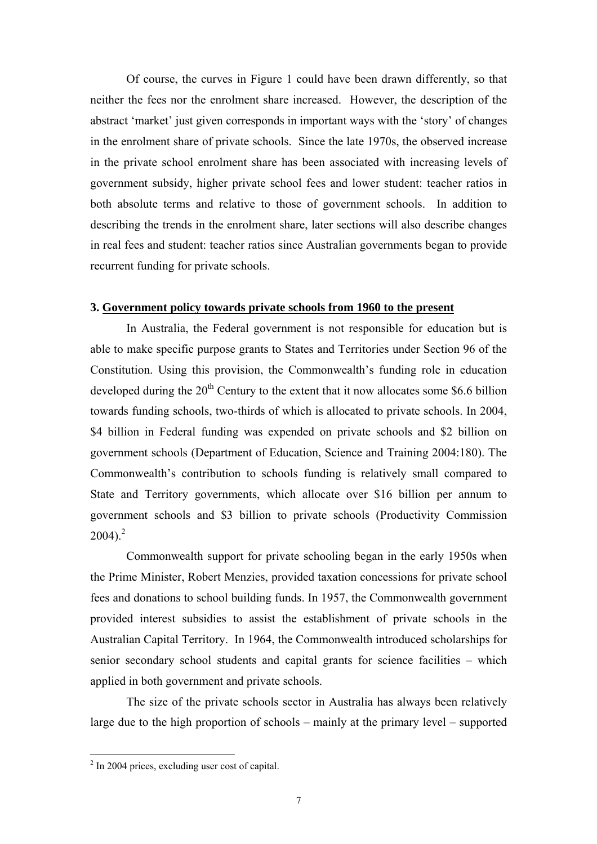Of course, the curves in Figure 1 could have been drawn differently, so that neither the fees nor the enrolment share increased. However, the description of the abstract 'market' just given corresponds in important ways with the 'story' of changes in the enrolment share of private schools. Since the late 1970s, the observed increase in the private school enrolment share has been associated with increasing levels of government subsidy, higher private school fees and lower student: teacher ratios in both absolute terms and relative to those of government schools. In addition to describing the trends in the enrolment share, later sections will also describe changes in real fees and student: teacher ratios since Australian governments began to provide recurrent funding for private schools.

#### **3. Government policy towards private schools from 1960 to the present**

In Australia, the Federal government is not responsible for education but is able to make specific purpose grants to States and Territories under Section 96 of the Constitution. Using this provision, the Commonwealth's funding role in education developed during the  $20<sup>th</sup>$  Century to the extent that it now allocates some \$6.6 billion towards funding schools, two-thirds of which is allocated to private schools. In 2004, \$4 billion in Federal funding was expended on private schools and \$2 billion on government schools (Department of Education, Science and Training 2004:180). The Commonwealth's contribution to schools funding is relatively small compared to State and Territory governments, which allocate over \$16 billion per annum to government schools and \$3 billion to private schools (Productivity Commission  $2004$  $2004$ )<sup>2</sup>

Commonwealth support for private schooling began in the early 1950s when the Prime Minister, Robert Menzies, provided taxation concessions for private school fees and donations to school building funds. In 1957, the Commonwealth government provided interest subsidies to assist the establishment of private schools in the Australian Capital Territory. In 1964, the Commonwealth introduced scholarships for senior secondary school students and capital grants for science facilities – which applied in both government and private schools.

The size of the private schools sector in Australia has always been relatively large due to the high proportion of schools – mainly at the primary level – supported

<span id="page-11-0"></span><sup>&</sup>lt;sup>2</sup> In 2004 prices, excluding user cost of capital.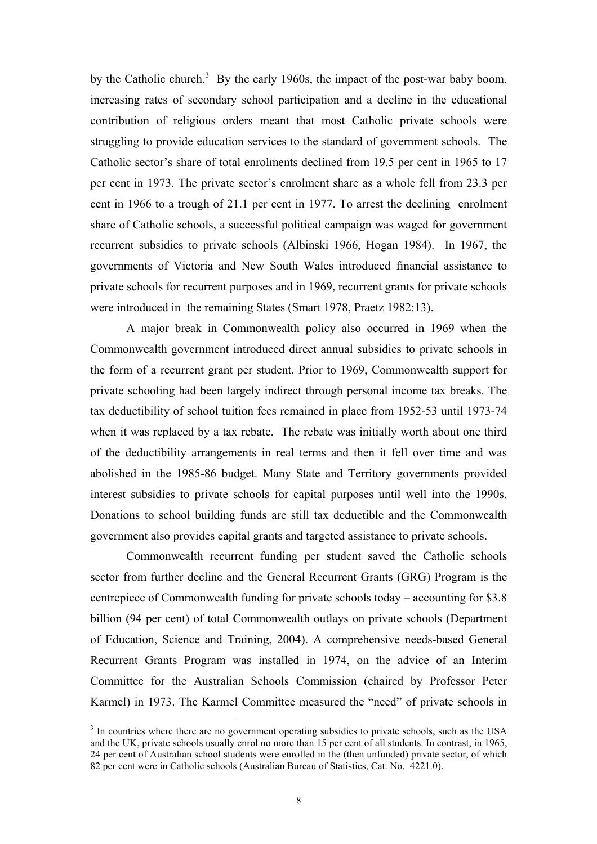by the Catholic church.<sup>3</sup> By the early 1960s, the impact of the post-war baby boom, increasing rates of secondary school participation and a decline in the educational contribution of religious orders meant that most Catholic private schools were struggling to provide education services to the standard of government schools. The Catholic sector's share of total enrolments declined from 19.5 per cent in 1965 to 17 per cent in 1973. The private sector's enrolment share as a whole fell from 23.3 per cent in 1966 to a trough of 21.1 per cent in 1977. To arrest the declining enrolment share of Catholic schools, a successful political campaign was waged for government recurrent subsidies to private schools (Albinski 1966, Hogan 1984). In 1967, the governments of Victoria and New South Wales introduced financial assistance to private schools for recurrent purposes and in 1969, recurrent grants for private schools were introduced in the remaining States (Smart 1978, Praetz 1982:13).

A major break in Commonwealth policy also occurred in 1969 when the Commonwealth government introduced direct annual subsidies to private schools in the form of a recurrent grant per student. Prior to 1969, Commonwealth support for private schooling had been largely indirect through personal income tax breaks. The tax deductibility of school tuition fees remained in place from 1952-53 until 1973-74 when it was replaced by a tax rebate. The rebate was initially worth about one third of the deductibility arrangements in real terms and then it fell over time and was abolished in the 1985-86 budget. Many State and Territory governments provided interest subsidies to private schools for capital purposes until well into the 1990s. Donations to school building funds are still tax deductible and the Commonwealth government also provides capital grants and targeted assistance to private schools.

Commonwealth recurrent funding per student saved the Catholic schools sector from further decline and the General Recurrent Grants (GRG) Program is the centrepiece of Commonwealth funding for private schools today – accounting for \$3.8 billion (94 per cent) of total Commonwealth outlays on private schools (Department of Education, Science and Training, 2004). A comprehensive needs-based General Recurrent Grants Program was installed in 1974, on the advice of an Interim Committee for the Australian Schools Commission (chaired by Professor Peter Karmel) in 1973. The Karmel Committee measured the "need" of private schools in

<span id="page-12-0"></span><sup>&</sup>lt;sup>3</sup> In countries where there are no government operating subsidies to private schools, such as the USA and the UK, private schools usually enrol no more than 15 per cent of all students. In contrast, in 1965, 24 per cent of Australian school students were enrolled in the (then unfunded) private sector, of which 82 per cent were in Catholic schools (Australian Bureau of Statistics, Cat. No. 4221.0).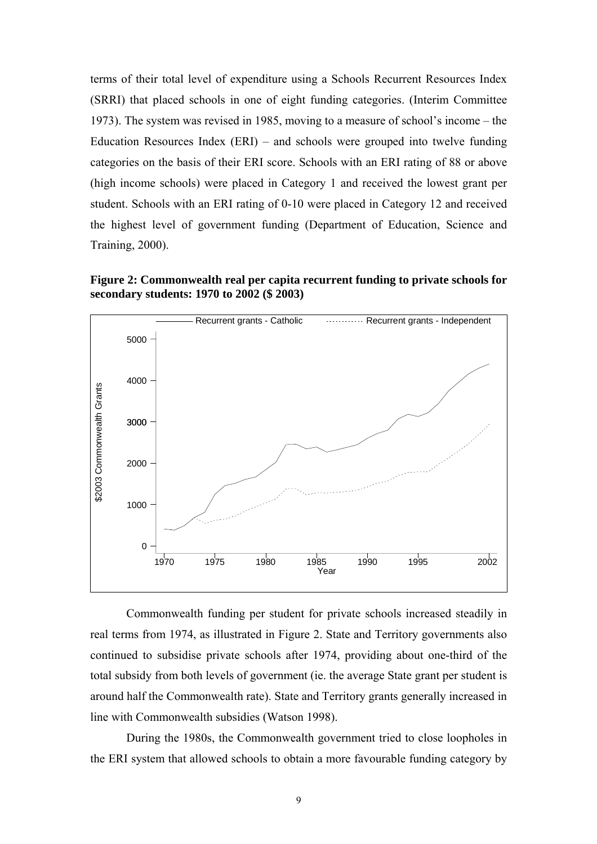terms of their total level of expenditure using a Schools Recurrent Resources Index (SRRI) that placed schools in one of eight funding categories. (Interim Committee 1973). The system was revised in 1985, moving to a measure of school's income – the Education Resources Index  $(ERI)$  – and schools were grouped into twelve funding categories on the basis of their ERI score. Schools with an ERI rating of 88 or above (high income schools) were placed in Category 1 and received the lowest grant per student. Schools with an ERI rating of 0-10 were placed in Category 12 and received the highest level of government funding (Department of Education, Science and Training, 2000).

**Figure 2: Commonwealth real per capita recurrent funding to private schools for secondary students: 1970 to 2002 (\$ 2003)** 



Commonwealth funding per student for private schools increased steadily in real terms from 1974, as illustrated in Figure 2. State and Territory governments also continued to subsidise private schools after 1974, providing about one-third of the total subsidy from both levels of government (ie. the average State grant per student is around half the Commonwealth rate). State and Territory grants generally increased in line with Commonwealth subsidies (Watson 1998).

During the 1980s, the Commonwealth government tried to close loopholes in the ERI system that allowed schools to obtain a more favourable funding category by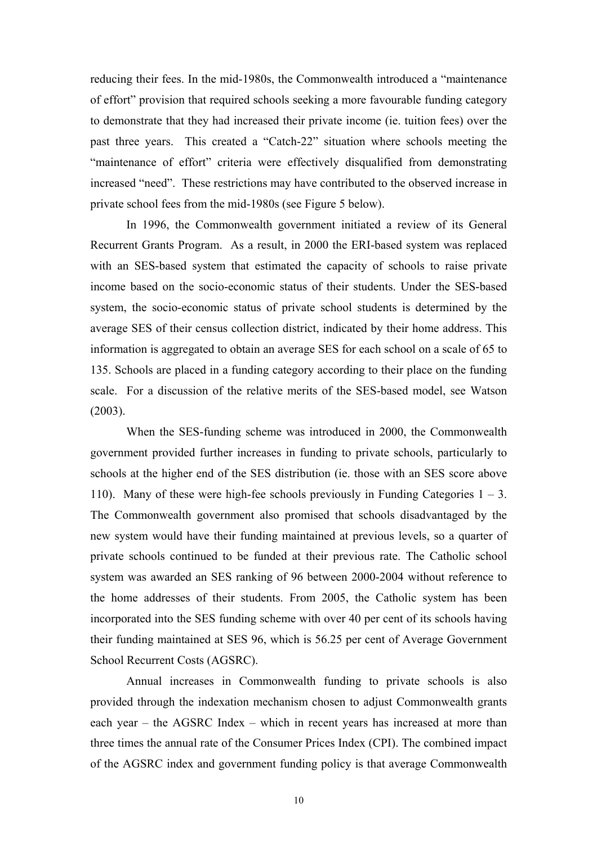reducing their fees. In the mid-1980s, the Commonwealth introduced a "maintenance of effort" provision that required schools seeking a more favourable funding category to demonstrate that they had increased their private income (ie. tuition fees) over the past three years. This created a "Catch-22" situation where schools meeting the "maintenance of effort" criteria were effectively disqualified from demonstrating increased "need". These restrictions may have contributed to the observed increase in private school fees from the mid-1980s (see Figure 5 below).

In 1996, the Commonwealth government initiated a review of its General Recurrent Grants Program. As a result, in 2000 the ERI-based system was replaced with an SES-based system that estimated the capacity of schools to raise private income based on the socio-economic status of their students. Under the SES-based system, the socio-economic status of private school students is determined by the average SES of their census collection district, indicated by their home address. This information is aggregated to obtain an average SES for each school on a scale of 65 to 135. Schools are placed in a funding category according to their place on the funding scale. For a discussion of the relative merits of the SES-based model, see Watson (2003).

When the SES-funding scheme was introduced in 2000, the Commonwealth government provided further increases in funding to private schools, particularly to schools at the higher end of the SES distribution (ie. those with an SES score above 110). Many of these were high-fee schools previously in Funding Categories  $1 - 3$ . The Commonwealth government also promised that schools disadvantaged by the new system would have their funding maintained at previous levels, so a quarter of private schools continued to be funded at their previous rate. The Catholic school system was awarded an SES ranking of 96 between 2000-2004 without reference to the home addresses of their students. From 2005, the Catholic system has been incorporated into the SES funding scheme with over 40 per cent of its schools having their funding maintained at SES 96, which is 56.25 per cent of Average Government School Recurrent Costs (AGSRC).

Annual increases in Commonwealth funding to private schools is also provided through the indexation mechanism chosen to adjust Commonwealth grants each year – the AGSRC Index – which in recent years has increased at more than three times the annual rate of the Consumer Prices Index (CPI). The combined impact of the AGSRC index and government funding policy is that average Commonwealth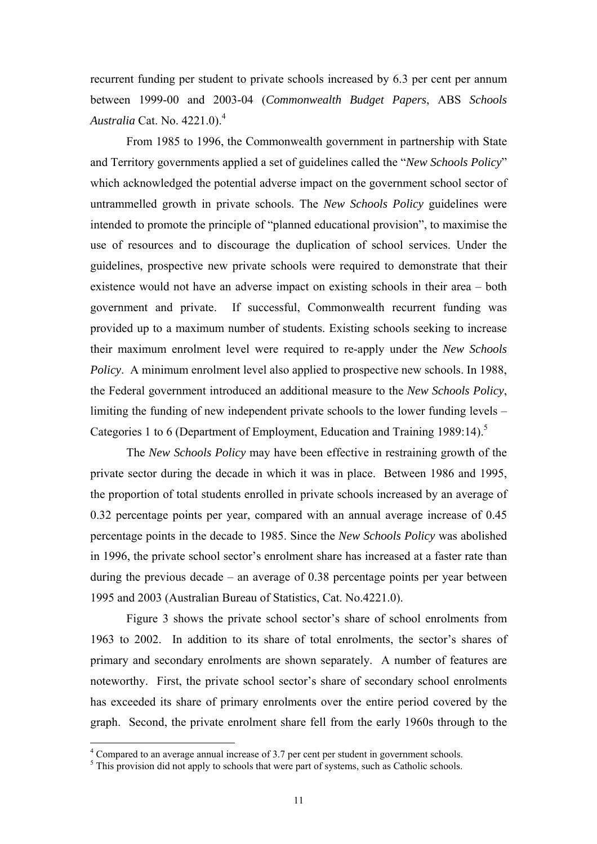recurrent funding per student to private schools increased by 6.3 per cent per annum between 1999-00 and 2003-04 (*Commonwealth Budget Papers*, ABS *Schools Australia* Cat. No. 4221.0)[.4](#page-15-0)

From 1985 to 1996, the Commonwealth government in partnership with State and Territory governments applied a set of guidelines called the "*New Schools Policy*" which acknowledged the potential adverse impact on the government school sector of untrammelled growth in private schools. The *New Schools Policy* guidelines were intended to promote the principle of "planned educational provision", to maximise the use of resources and to discourage the duplication of school services. Under the guidelines, prospective new private schools were required to demonstrate that their existence would not have an adverse impact on existing schools in their area – both government and private. If successful, Commonwealth recurrent funding was provided up to a maximum number of students. Existing schools seeking to increase their maximum enrolment level were required to re-apply under the *New Schools Policy*. A minimum enrolment level also applied to prospective new schools. In 1988, the Federal government introduced an additional measure to the *New Schools Policy*, limiting the funding of new independent private schools to the lower funding levels – Categories 1 to 6 (Department of Employment, Education and Training 1989:14).<sup>5</sup>

The *New Schools Policy* may have been effective in restraining growth of the private sector during the decade in which it was in place. Between 1986 and 1995, the proportion of total students enrolled in private schools increased by an average of 0.32 percentage points per year, compared with an annual average increase of 0.45 percentage points in the decade to 1985. Since the *New Schools Policy* was abolished in 1996, the private school sector's enrolment share has increased at a faster rate than during the previous decade – an average of 0.38 percentage points per year between 1995 and 2003 (Australian Bureau of Statistics, Cat. No.4221.0).

Figure 3 shows the private school sector's share of school enrolments from 1963 to 2002. In addition to its share of total enrolments, the sector's shares of primary and secondary enrolments are shown separately. A number of features are noteworthy. First, the private school sector's share of secondary school enrolments has exceeded its share of primary enrolments over the entire period covered by the graph. Second, the private enrolment share fell from the early 1960s through to the

<span id="page-15-0"></span><sup>&</sup>lt;sup>4</sup> Compared to an average annual increase of 3.7 per cent per student in government schools.

<span id="page-15-1"></span> $\frac{5}{10}$ . This provision did not apply to schools that were part of systems, such as Catholic schools.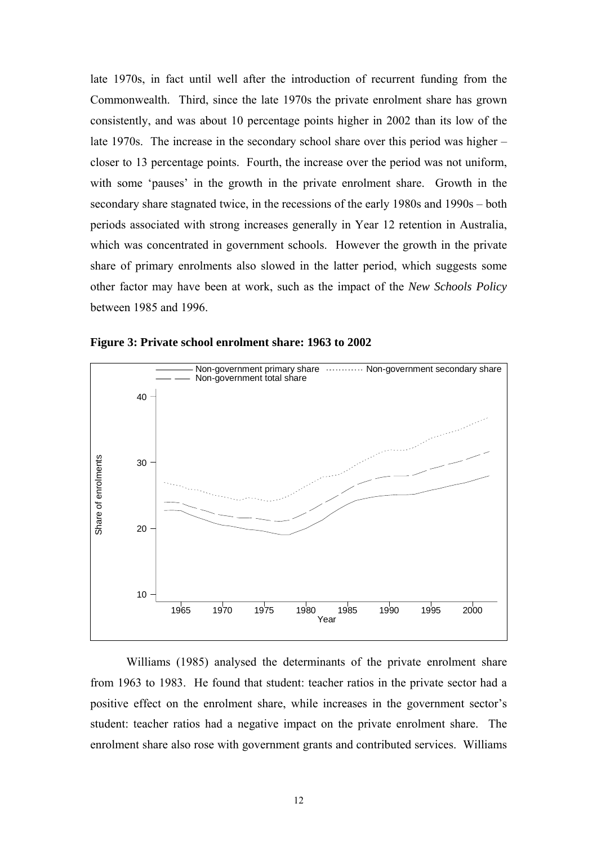late 1970s, in fact until well after the introduction of recurrent funding from the Commonwealth. Third, since the late 1970s the private enrolment share has grown consistently, and was about 10 percentage points higher in 2002 than its low of the late 1970s. The increase in the secondary school share over this period was higher – closer to 13 percentage points. Fourth, the increase over the period was not uniform, with some 'pauses' in the growth in the private enrolment share. Growth in the secondary share stagnated twice, in the recessions of the early 1980s and 1990s – both periods associated with strong increases generally in Year 12 retention in Australia, which was concentrated in government schools. However the growth in the private share of primary enrolments also slowed in the latter period, which suggests some other factor may have been at work, such as the impact of the *New Schools Policy* between 1985 and 1996.



**Figure 3: Private school enrolment share: 1963 to 2002** 

Williams (1985) analysed the determinants of the private enrolment share from 1963 to 1983. He found that student: teacher ratios in the private sector had a positive effect on the enrolment share, while increases in the government sector's student: teacher ratios had a negative impact on the private enrolment share. The enrolment share also rose with government grants and contributed services. Williams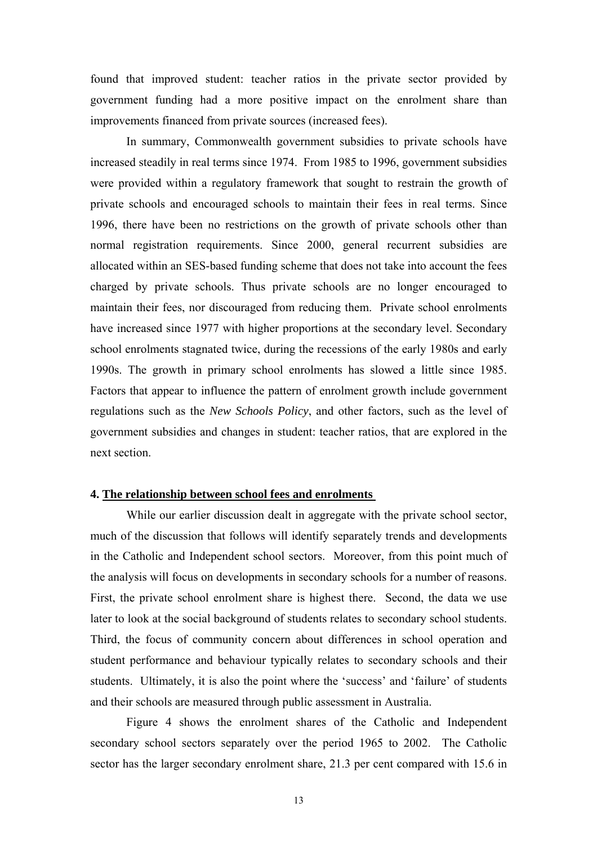found that improved student: teacher ratios in the private sector provided by government funding had a more positive impact on the enrolment share than improvements financed from private sources (increased fees).

In summary, Commonwealth government subsidies to private schools have increased steadily in real terms since 1974. From 1985 to 1996, government subsidies were provided within a regulatory framework that sought to restrain the growth of private schools and encouraged schools to maintain their fees in real terms. Since 1996, there have been no restrictions on the growth of private schools other than normal registration requirements. Since 2000, general recurrent subsidies are allocated within an SES-based funding scheme that does not take into account the fees charged by private schools. Thus private schools are no longer encouraged to maintain their fees, nor discouraged from reducing them. Private school enrolments have increased since 1977 with higher proportions at the secondary level. Secondary school enrolments stagnated twice, during the recessions of the early 1980s and early 1990s. The growth in primary school enrolments has slowed a little since 1985. Factors that appear to influence the pattern of enrolment growth include government regulations such as the *New Schools Policy*, and other factors, such as the level of government subsidies and changes in student: teacher ratios, that are explored in the next section.

#### **4. The relationship between school fees and enrolments**

While our earlier discussion dealt in aggregate with the private school sector, much of the discussion that follows will identify separately trends and developments in the Catholic and Independent school sectors. Moreover, from this point much of the analysis will focus on developments in secondary schools for a number of reasons. First, the private school enrolment share is highest there. Second, the data we use later to look at the social background of students relates to secondary school students. Third, the focus of community concern about differences in school operation and student performance and behaviour typically relates to secondary schools and their students. Ultimately, it is also the point where the 'success' and 'failure' of students and their schools are measured through public assessment in Australia.

Figure 4 shows the enrolment shares of the Catholic and Independent secondary school sectors separately over the period 1965 to 2002. The Catholic sector has the larger secondary enrolment share, 21.3 per cent compared with 15.6 in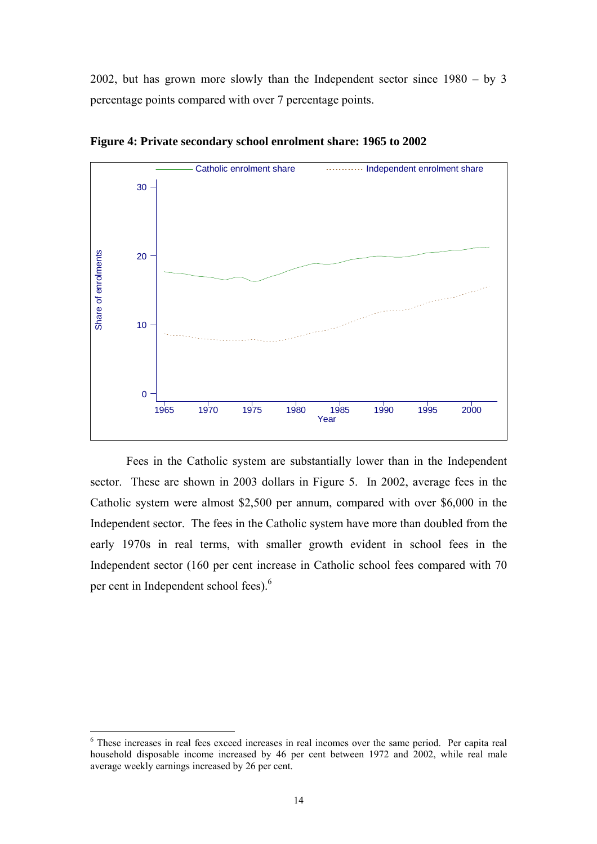2002, but has grown more slowly than the Independent sector since 1980 – by 3 percentage points compared with over 7 percentage points.



**Figure 4: Private secondary school enrolment share: 1965 to 2002** 

Fees in the Catholic system are substantially lower than in the Independent sector. These are shown in 2003 dollars in Figure 5. In 2002, average fees in the Catholic system were almost \$2,500 per annum, compared with over \$6,000 in the Independent sector. The fees in the Catholic system have more than doubled from the early 1970s in real terms, with smaller growth evident in school fees in the Independent sector (160 per cent increase in Catholic school fees compared with 70 per cent in Independent school fees).<sup>[6](#page-18-0)</sup>

<span id="page-18-0"></span><sup>&</sup>lt;sup>6</sup> These increases in real fees exceed increases in real incomes over the same period. Per capita real household disposable income increased by 46 per cent between 1972 and 2002, while real male average weekly earnings increased by 26 per cent.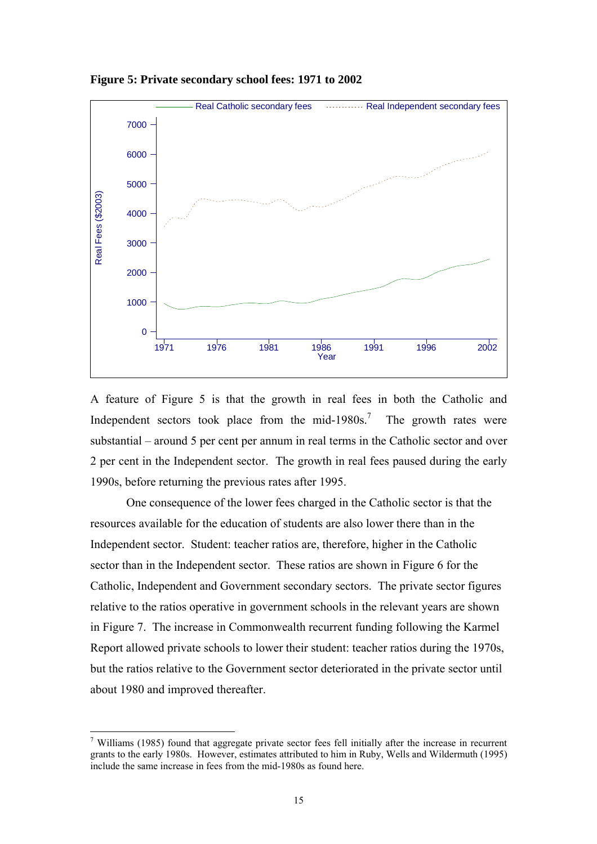

**Figure 5: Private secondary school fees: 1971 to 2002** 

A feature of Figure 5 is that the growth in real fees in both the Catholic and Independent sectors took place from the mid-1980s.<sup>[7](#page-19-0)</sup> The growth rates were substantial – around 5 per cent per annum in real terms in the Catholic sector and over 2 per cent in the Independent sector. The growth in real fees paused during the early 1990s, before returning the previous rates after 1995.

One consequence of the lower fees charged in the Catholic sector is that the resources available for the education of students are also lower there than in the Independent sector. Student: teacher ratios are, therefore, higher in the Catholic sector than in the Independent sector. These ratios are shown in Figure 6 for the Catholic, Independent and Government secondary sectors. The private sector figures relative to the ratios operative in government schools in the relevant years are shown in Figure 7. The increase in Commonwealth recurrent funding following the Karmel Report allowed private schools to lower their student: teacher ratios during the 1970s, but the ratios relative to the Government sector deteriorated in the private sector until about 1980 and improved thereafter.

<span id="page-19-0"></span><sup>&</sup>lt;sup>7</sup> Williams (1985) found that aggregate private sector fees fell initially after the increase in recurrent grants to the early 1980s. However, estimates attributed to him in Ruby, Wells and Wildermuth (1995) include the same increase in fees from the mid-1980s as found here.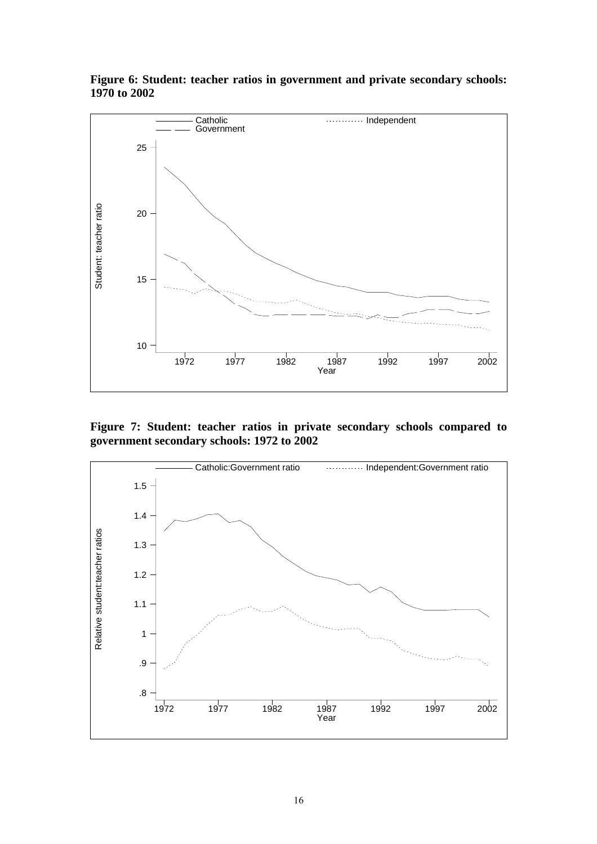

**Figure 6: Student: teacher ratios in government and private secondary schools: 1970 to 2002** 

**Figure 7: Student: teacher ratios in private secondary schools compared to government secondary schools: 1972 to 2002** 

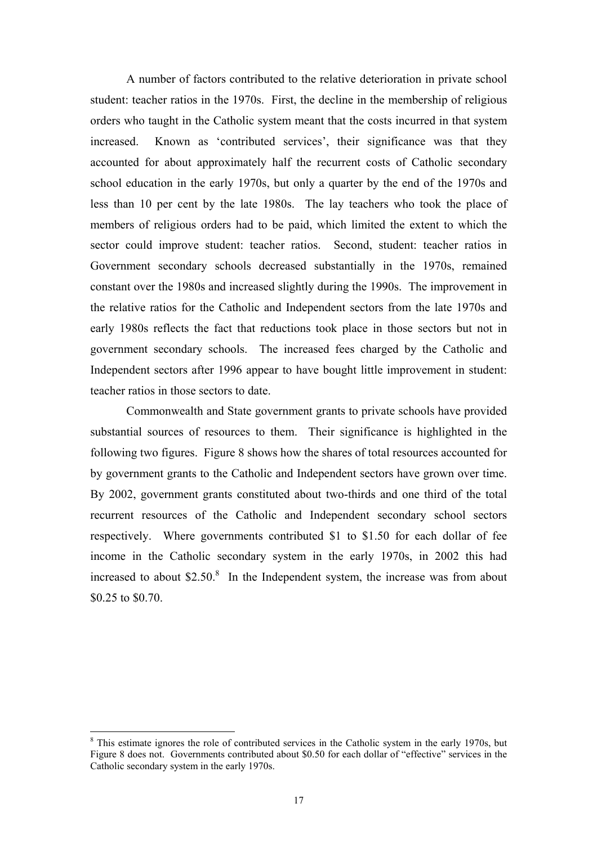A number of factors contributed to the relative deterioration in private school student: teacher ratios in the 1970s. First, the decline in the membership of religious orders who taught in the Catholic system meant that the costs incurred in that system increased. Known as 'contributed services', their significance was that they accounted for about approximately half the recurrent costs of Catholic secondary school education in the early 1970s, but only a quarter by the end of the 1970s and less than 10 per cent by the late 1980s. The lay teachers who took the place of members of religious orders had to be paid, which limited the extent to which the sector could improve student: teacher ratios. Second, student: teacher ratios in Government secondary schools decreased substantially in the 1970s, remained constant over the 1980s and increased slightly during the 1990s. The improvement in the relative ratios for the Catholic and Independent sectors from the late 1970s and early 1980s reflects the fact that reductions took place in those sectors but not in government secondary schools. The increased fees charged by the Catholic and Independent sectors after 1996 appear to have bought little improvement in student: teacher ratios in those sectors to date.

Commonwealth and State government grants to private schools have provided substantial sources of resources to them. Their significance is highlighted in the following two figures. Figure 8 shows how the shares of total resources accounted for by government grants to the Catholic and Independent sectors have grown over time. By 2002, government grants constituted about two-thirds and one third of the total recurrent resources of the Catholic and Independent secondary school sectors respectively. Where governments contributed \$1 to \$1.50 for each dollar of fee income in the Catholic secondary system in the early 1970s, in 2002 this had increased to about  $$2.50$ .<sup>[8](#page-21-0)</sup> In the Independent system, the increase was from about \$0.25 to \$0.70.

<span id="page-21-0"></span><sup>&</sup>lt;sup>8</sup> This estimate ignores the role of contributed services in the Catholic system in the early 1970s, but Figure 8 does not. Governments contributed about \$0.50 for each dollar of "effective" services in the Catholic secondary system in the early 1970s.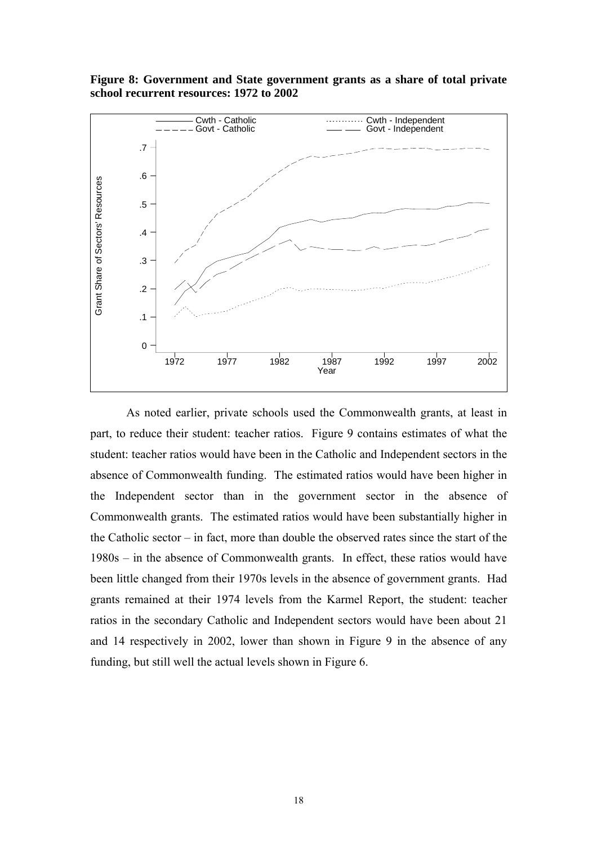**Figure 8: Government and State government grants as a share of total private school recurrent resources: 1972 to 2002** 



As noted earlier, private schools used the Commonwealth grants, at least in part, to reduce their student: teacher ratios. Figure 9 contains estimates of what the student: teacher ratios would have been in the Catholic and Independent sectors in the absence of Commonwealth funding. The estimated ratios would have been higher in the Independent sector than in the government sector in the absence of Commonwealth grants. The estimated ratios would have been substantially higher in the Catholic sector – in fact, more than double the observed rates since the start of the 1980s – in the absence of Commonwealth grants. In effect, these ratios would have been little changed from their 1970s levels in the absence of government grants. Had grants remained at their 1974 levels from the Karmel Report, the student: teacher ratios in the secondary Catholic and Independent sectors would have been about 21 and 14 respectively in 2002, lower than shown in Figure 9 in the absence of any funding, but still well the actual levels shown in Figure 6.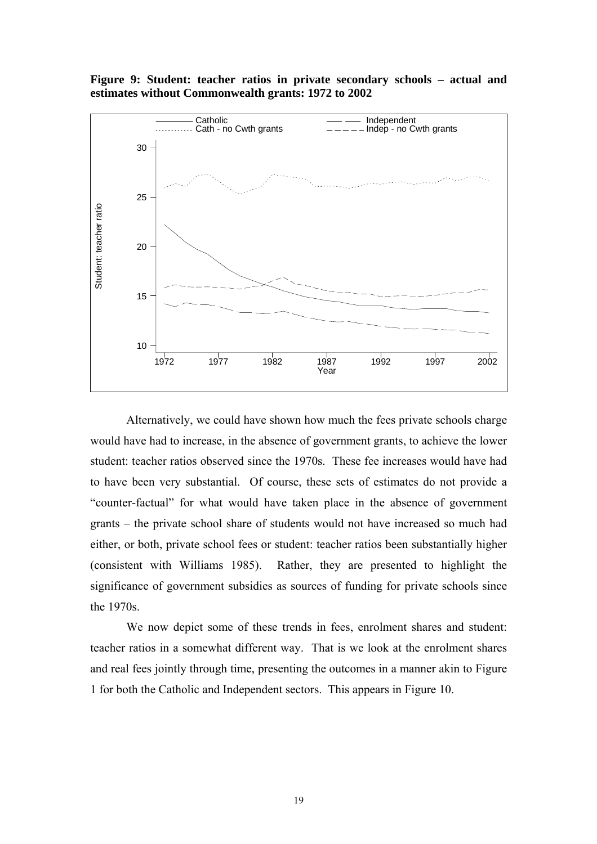



Alternatively, we could have shown how much the fees private schools charge would have had to increase, in the absence of government grants, to achieve the lower student: teacher ratios observed since the 1970s. These fee increases would have had to have been very substantial. Of course, these sets of estimates do not provide a "counter-factual" for what would have taken place in the absence of government grants – the private school share of students would not have increased so much had either, or both, private school fees or student: teacher ratios been substantially higher (consistent with Williams 1985). Rather, they are presented to highlight the significance of government subsidies as sources of funding for private schools since the 1970s.

We now depict some of these trends in fees, enrolment shares and student: teacher ratios in a somewhat different way. That is we look at the enrolment shares and real fees jointly through time, presenting the outcomes in a manner akin to Figure 1 for both the Catholic and Independent sectors. This appears in Figure 10.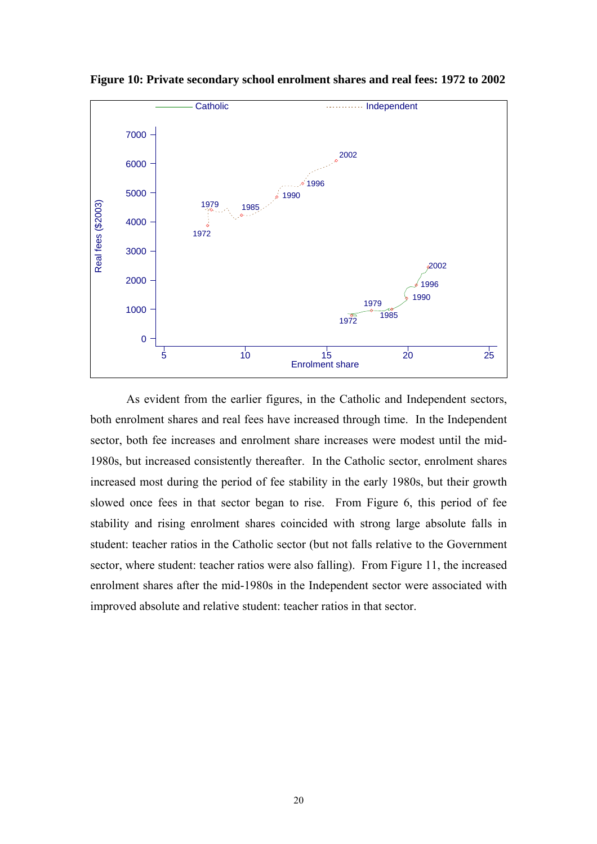

**Figure 10: Private secondary school enrolment shares and real fees: 1972 to 2002** 

As evident from the earlier figures, in the Catholic and Independent sectors, both enrolment shares and real fees have increased through time. In the Independent sector, both fee increases and enrolment share increases were modest until the mid-1980s, but increased consistently thereafter. In the Catholic sector, enrolment shares increased most during the period of fee stability in the early 1980s, but their growth slowed once fees in that sector began to rise. From Figure 6, this period of fee stability and rising enrolment shares coincided with strong large absolute falls in student: teacher ratios in the Catholic sector (but not falls relative to the Government sector, where student: teacher ratios were also falling). From Figure 11, the increased enrolment shares after the mid-1980s in the Independent sector were associated with improved absolute and relative student: teacher ratios in that sector.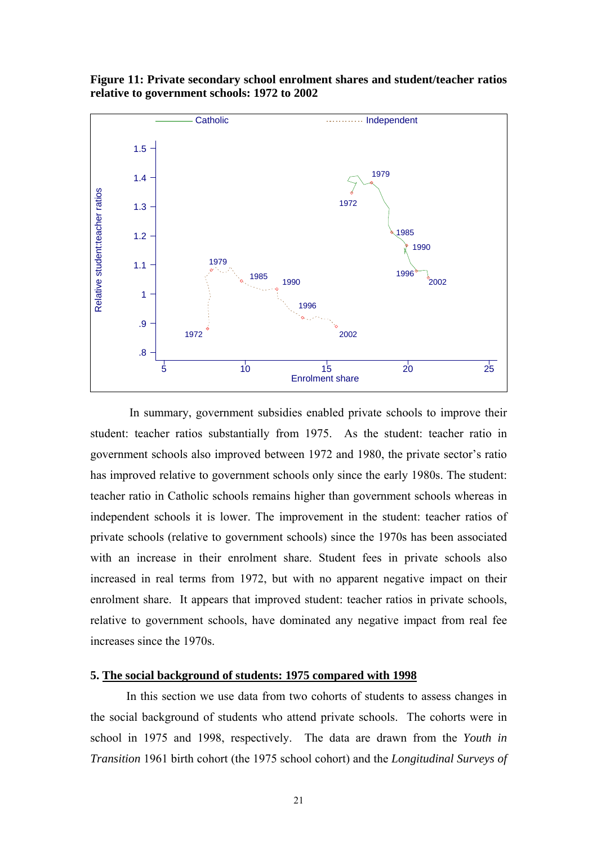

**Figure 11: Private secondary school enrolment shares and student/teacher ratios relative to government schools: 1972 to 2002** 

In summary, government subsidies enabled private schools to improve their student: teacher ratios substantially from 1975. As the student: teacher ratio in government schools also improved between 1972 and 1980, the private sector's ratio has improved relative to government schools only since the early 1980s. The student: teacher ratio in Catholic schools remains higher than government schools whereas in independent schools it is lower. The improvement in the student: teacher ratios of private schools (relative to government schools) since the 1970s has been associated with an increase in their enrolment share. Student fees in private schools also increased in real terms from 1972, but with no apparent negative impact on their enrolment share. It appears that improved student: teacher ratios in private schools, relative to government schools, have dominated any negative impact from real fee increases since the 1970s.

#### **5. The social background of students: 1975 compared with 1998**

In this section we use data from two cohorts of students to assess changes in the social background of students who attend private schools. The cohorts were in school in 1975 and 1998, respectively. The data are drawn from the *Youth in Transition* 1961 birth cohort (the 1975 school cohort) and the *Longitudinal Surveys of*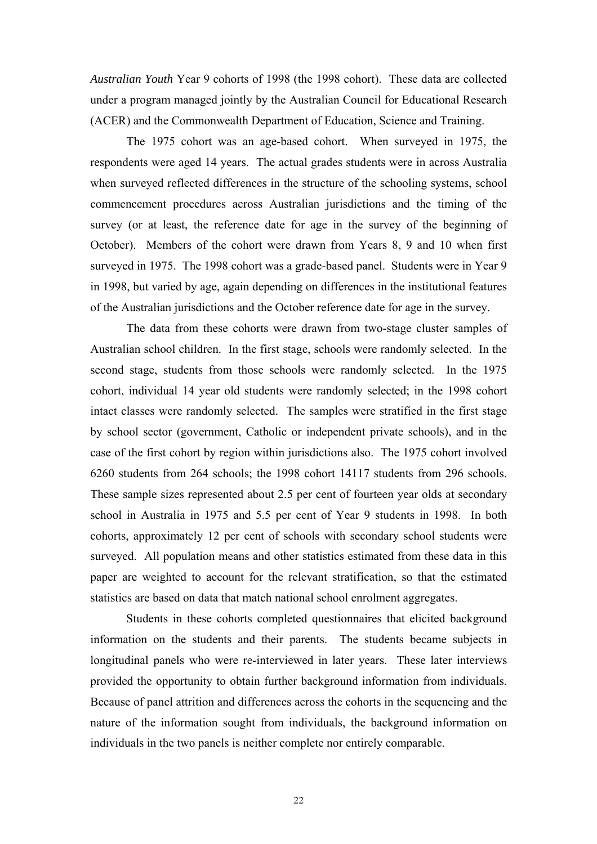*Australian Youth* Year 9 cohorts of 1998 (the 1998 cohort). These data are collected under a program managed jointly by the Australian Council for Educational Research (ACER) and the Commonwealth Department of Education, Science and Training.

The 1975 cohort was an age-based cohort. When surveyed in 1975, the respondents were aged 14 years. The actual grades students were in across Australia when surveyed reflected differences in the structure of the schooling systems, school commencement procedures across Australian jurisdictions and the timing of the survey (or at least, the reference date for age in the survey of the beginning of October). Members of the cohort were drawn from Years 8, 9 and 10 when first surveyed in 1975. The 1998 cohort was a grade-based panel. Students were in Year 9 in 1998, but varied by age, again depending on differences in the institutional features of the Australian jurisdictions and the October reference date for age in the survey.

The data from these cohorts were drawn from two-stage cluster samples of Australian school children. In the first stage, schools were randomly selected. In the second stage, students from those schools were randomly selected. In the 1975 cohort, individual 14 year old students were randomly selected; in the 1998 cohort intact classes were randomly selected. The samples were stratified in the first stage by school sector (government, Catholic or independent private schools), and in the case of the first cohort by region within jurisdictions also. The 1975 cohort involved 6260 students from 264 schools; the 1998 cohort 14117 students from 296 schools. These sample sizes represented about 2.5 per cent of fourteen year olds at secondary school in Australia in 1975 and 5.5 per cent of Year 9 students in 1998. In both cohorts, approximately 12 per cent of schools with secondary school students were surveyed. All population means and other statistics estimated from these data in this paper are weighted to account for the relevant stratification, so that the estimated statistics are based on data that match national school enrolment aggregates.

Students in these cohorts completed questionnaires that elicited background information on the students and their parents. The students became subjects in longitudinal panels who were re-interviewed in later years. These later interviews provided the opportunity to obtain further background information from individuals. Because of panel attrition and differences across the cohorts in the sequencing and the nature of the information sought from individuals, the background information on individuals in the two panels is neither complete nor entirely comparable.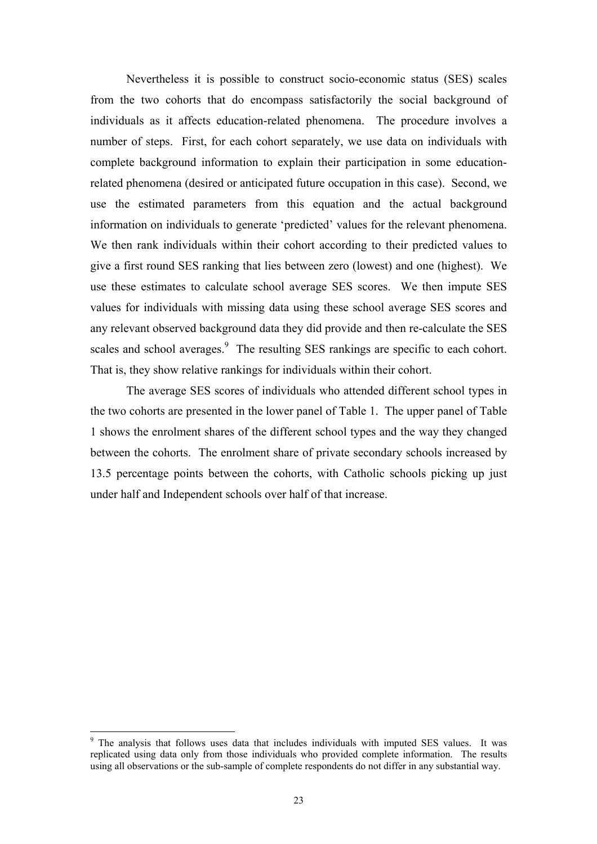Nevertheless it is possible to construct socio-economic status (SES) scales from the two cohorts that do encompass satisfactorily the social background of individuals as it affects education-related phenomena. The procedure involves a number of steps. First, for each cohort separately, we use data on individuals with complete background information to explain their participation in some educationrelated phenomena (desired or anticipated future occupation in this case). Second, we use the estimated parameters from this equation and the actual background information on individuals to generate 'predicted' values for the relevant phenomena. We then rank individuals within their cohort according to their predicted values to give a first round SES ranking that lies between zero (lowest) and one (highest). We use these estimates to calculate school average SES scores. We then impute SES values for individuals with missing data using these school average SES scores and any relevant observed background data they did provide and then re-calculate the SES scales and school averages.<sup>[9](#page-27-0)</sup> The resulting SES rankings are specific to each cohort. That is, they show relative rankings for individuals within their cohort.

The average SES scores of individuals who attended different school types in the two cohorts are presented in the lower panel of Table 1. The upper panel of Table 1 shows the enrolment shares of the different school types and the way they changed between the cohorts. The enrolment share of private secondary schools increased by 13.5 percentage points between the cohorts, with Catholic schools picking up just under half and Independent schools over half of that increase.

<span id="page-27-0"></span><sup>&</sup>lt;sup>9</sup> The analysis that follows uses data that includes individuals with imputed SES values. It was replicated using data only from those individuals who provided complete information. The results using all observations or the sub-sample of complete respondents do not differ in any substantial way.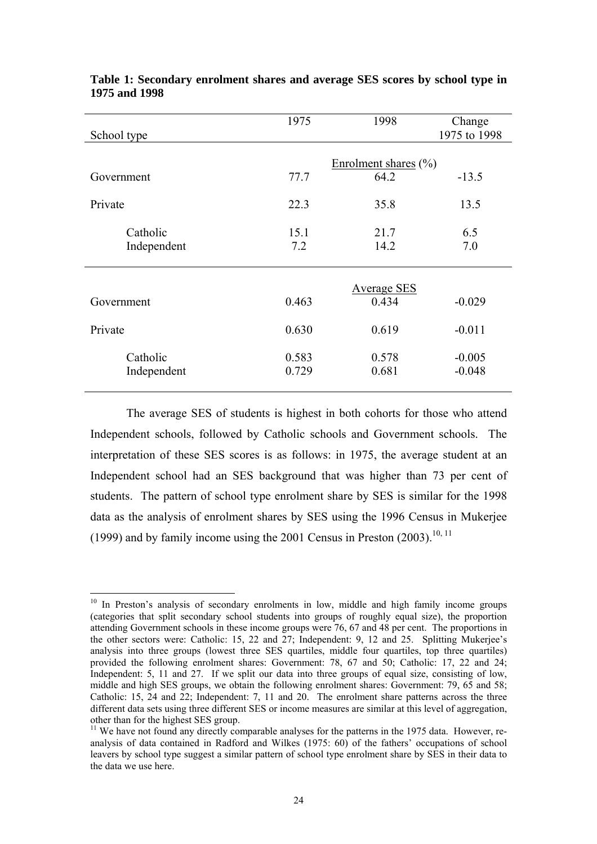| School type             | 1975           | 1998                    | Change<br>1975 to 1998 |
|-------------------------|----------------|-------------------------|------------------------|
|                         |                | Enrolment shares $(\%)$ |                        |
| Government              | 77.7           | 64.2                    | $-13.5$                |
| Private                 | 22.3           | 35.8                    | 13.5                   |
| Catholic<br>Independent | 15.1<br>7.2    | 21.7<br>14.2            | 6.5<br>7.0             |
|                         |                | <b>Average SES</b>      |                        |
| Government              | 0.463          | 0.434                   | $-0.029$               |
| Private                 | 0.630          | 0.619                   | $-0.011$               |
| Catholic<br>Independent | 0.583<br>0.729 | 0.578<br>0.681          | $-0.005$<br>$-0.048$   |

#### **Table 1: Secondary enrolment shares and average SES scores by school type in 1975 and 1998**

The average SES of students is highest in both cohorts for those who attend Independent schools, followed by Catholic schools and Government schools. The interpretation of these SES scores is as follows: in 1975, the average student at an Independent school had an SES background that was higher than 73 per cent of students. The pattern of school type enrolment share by SES is similar for the 1998 data as the analysis of enrolment shares by SES using the 1996 Census in Mukerjee (1999) and by family income using the 2001 Census in Preston (2003).<sup>[10,](#page-28-0) [11](#page-28-1)</sup>

<span id="page-28-0"></span> $\overline{a}$ <sup>10</sup> In Preston's analysis of secondary enrolments in low, middle and high family income groups (categories that split secondary school students into groups of roughly equal size), the proportion attending Government schools in these income groups were 76, 67 and 48 per cent. The proportions in the other sectors were: Catholic: 15, 22 and 27; Independent: 9, 12 and 25. Splitting Mukerjee's analysis into three groups (lowest three SES quartiles, middle four quartiles, top three quartiles) provided the following enrolment shares: Government: 78, 67 and 50; Catholic: 17, 22 and 24; Independent: 5, 11 and 27. If we split our data into three groups of equal size, consisting of low, middle and high SES groups, we obtain the following enrolment shares: Government: 79, 65 and 58; Catholic: 15, 24 and 22; Independent: 7, 11 and 20. The enrolment share patterns across the three different data sets using three different SES or income measures are similar at this level of aggregation, other than for the highest SES group.

<span id="page-28-1"></span> $11$  We have not found any directly comparable analyses for the patterns in the 1975 data. However, reanalysis of data contained in Radford and Wilkes (1975: 60) of the fathers' occupations of school leavers by school type suggest a similar pattern of school type enrolment share by SES in their data to the data we use here.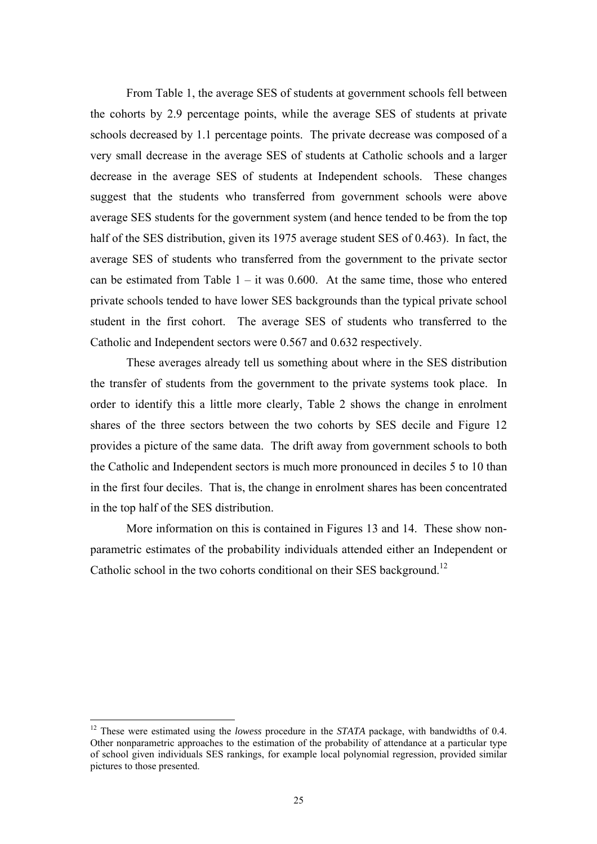From Table 1, the average SES of students at government schools fell between the cohorts by 2.9 percentage points, while the average SES of students at private schools decreased by 1.1 percentage points. The private decrease was composed of a very small decrease in the average SES of students at Catholic schools and a larger decrease in the average SES of students at Independent schools. These changes suggest that the students who transferred from government schools were above average SES students for the government system (and hence tended to be from the top half of the SES distribution, given its 1975 average student SES of 0.463). In fact, the average SES of students who transferred from the government to the private sector can be estimated from Table  $1 - it$  was 0.600. At the same time, those who entered private schools tended to have lower SES backgrounds than the typical private school student in the first cohort. The average SES of students who transferred to the Catholic and Independent sectors were 0.567 and 0.632 respectively.

These averages already tell us something about where in the SES distribution the transfer of students from the government to the private systems took place. In order to identify this a little more clearly, Table 2 shows the change in enrolment shares of the three sectors between the two cohorts by SES decile and Figure 12 provides a picture of the same data. The drift away from government schools to both the Catholic and Independent sectors is much more pronounced in deciles 5 to 10 than in the first four deciles. That is, the change in enrolment shares has been concentrated in the top half of the SES distribution.

More information on this is contained in Figures 13 and 14. These show nonparametric estimates of the probability individuals attended either an Independent or Catholic school in the two cohorts conditional on their SES background.<sup>12</sup>

<span id="page-29-0"></span><sup>12</sup> These were estimated using the *lowess* procedure in the *STATA* package, with bandwidths of 0.4. Other nonparametric approaches to the estimation of the probability of attendance at a particular type of school given individuals SES rankings, for example local polynomial regression, provided similar pictures to those presented.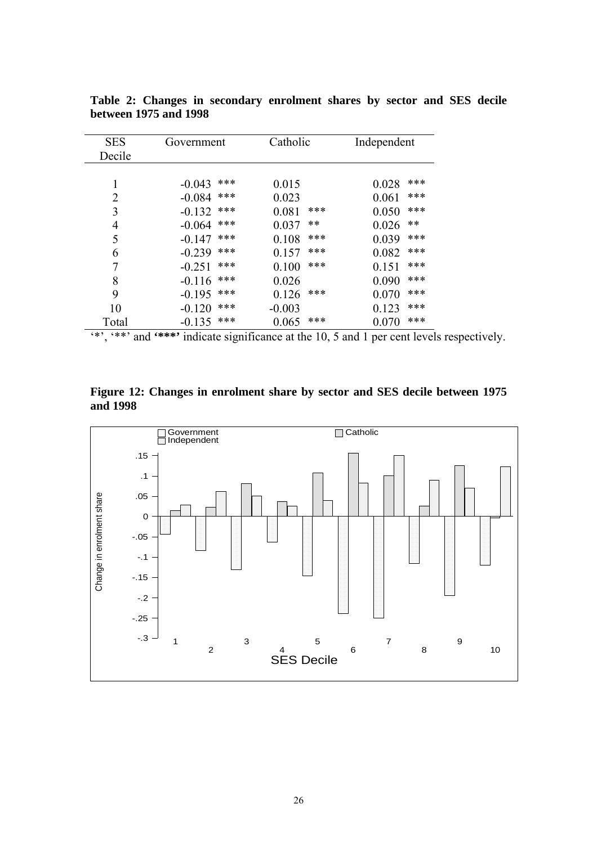| Government      | Catholic     | Independent  |  |
|-----------------|--------------|--------------|--|
|                 |              |              |  |
|                 |              |              |  |
| ***<br>$-0.043$ | 0.015        | ***<br>0.028 |  |
| ***<br>$-0.084$ | 0.023        | ***<br>0.061 |  |
| ***<br>$-0.132$ | ***<br>0.081 | ***<br>0.050 |  |
| ***<br>$-0.064$ | **<br>0.037  | **<br>0.026  |  |
| ***<br>$-0.147$ | ***<br>0.108 | ***<br>0.039 |  |
| ***<br>$-0.239$ | ***<br>0.157 | ***<br>0.082 |  |
| ***<br>$-0.251$ | ***<br>0.100 | ***<br>0.151 |  |
| ***<br>$-0.116$ | 0.026        | ***<br>0.090 |  |
| ***<br>$-0.195$ | ***<br>0.126 | ***<br>0.070 |  |
| ***<br>$-0.120$ | $-0.003$     | ***<br>0.123 |  |
| ***<br>$-0.135$ | ***<br>0.065 | ***<br>0.070 |  |
|                 |              |              |  |

**Table 2: Changes in secondary enrolment shares by sector and SES decile between 1975 and 1998** 

'\*', '\*\*' and **'\*\*\*'** indicate significance at the 10, 5 and 1 per cent levels respectively.

**Figure 12: Changes in enrolment share by sector and SES decile between 1975 and 1998** 

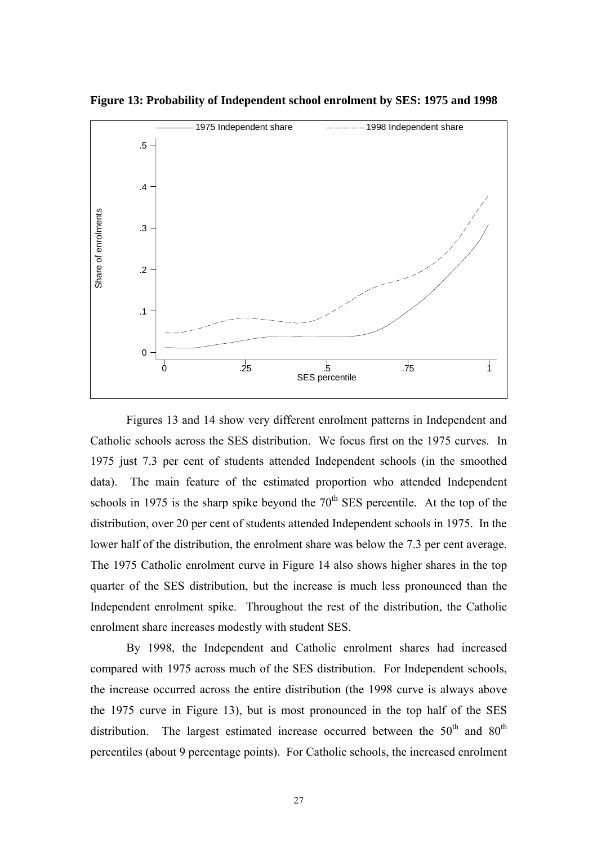

**Figure 13: Probability of Independent school enrolment by SES: 1975 and 1998** 

Figures 13 and 14 show very different enrolment patterns in Independent and Catholic schools across the SES distribution. We focus first on the 1975 curves. In 1975 just 7.3 per cent of students attended Independent schools (in the smoothed data). The main feature of the estimated proportion who attended Independent schools in 1975 is the sharp spike beyond the  $70<sup>th</sup>$  SES percentile. At the top of the distribution, over 20 per cent of students attended Independent schools in 1975. In the lower half of the distribution, the enrolment share was below the 7.3 per cent average. The 1975 Catholic enrolment curve in Figure 14 also shows higher shares in the top quarter of the SES distribution, but the increase is much less pronounced than the Independent enrolment spike. Throughout the rest of the distribution, the Catholic enrolment share increases modestly with student SES.

By 1998, the Independent and Catholic enrolment shares had increased compared with 1975 across much of the SES distribution. For Independent schools, the increase occurred across the entire distribution (the 1998 curve is always above the 1975 curve in Figure 13), but is most pronounced in the top half of the SES distribution. The largest estimated increase occurred between the  $50<sup>th</sup>$  and  $80<sup>th</sup>$ percentiles (about 9 percentage points). For Catholic schools, the increased enrolment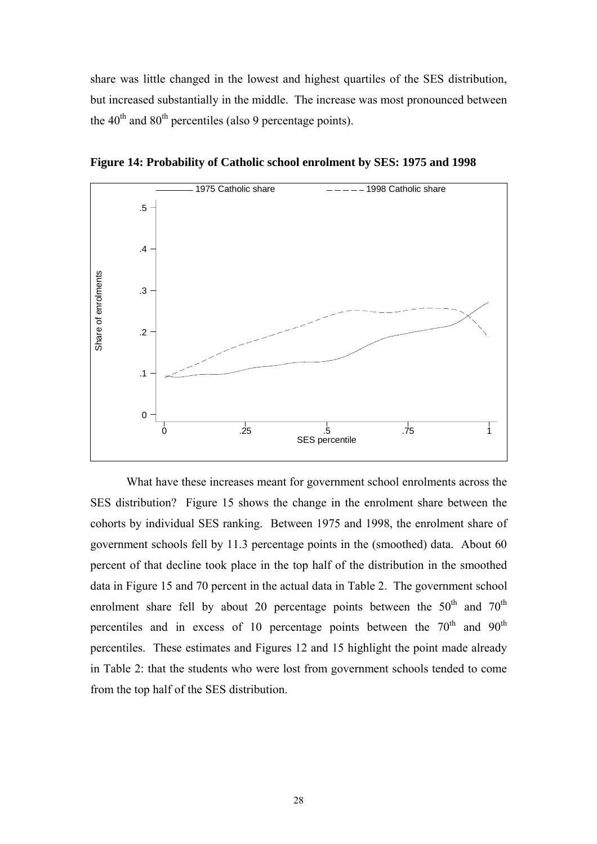share was little changed in the lowest and highest quartiles of the SES distribution, but increased substantially in the middle. The increase was most pronounced between the  $40<sup>th</sup>$  and  $80<sup>th</sup>$  percentiles (also 9 percentage points).



**Figure 14: Probability of Catholic school enrolment by SES: 1975 and 1998** 

What have these increases meant for government school enrolments across the SES distribution? Figure 15 shows the change in the enrolment share between the cohorts by individual SES ranking. Between 1975 and 1998, the enrolment share of government schools fell by 11.3 percentage points in the (smoothed) data. About 60 percent of that decline took place in the top half of the distribution in the smoothed data in Figure 15 and 70 percent in the actual data in Table 2. The government school enrolment share fell by about 20 percentage points between the  $50<sup>th</sup>$  and  $70<sup>th</sup>$ percentiles and in excess of 10 percentage points between the  $70<sup>th</sup>$  and  $90<sup>th</sup>$ percentiles. These estimates and Figures 12 and 15 highlight the point made already in Table 2: that the students who were lost from government schools tended to come from the top half of the SES distribution.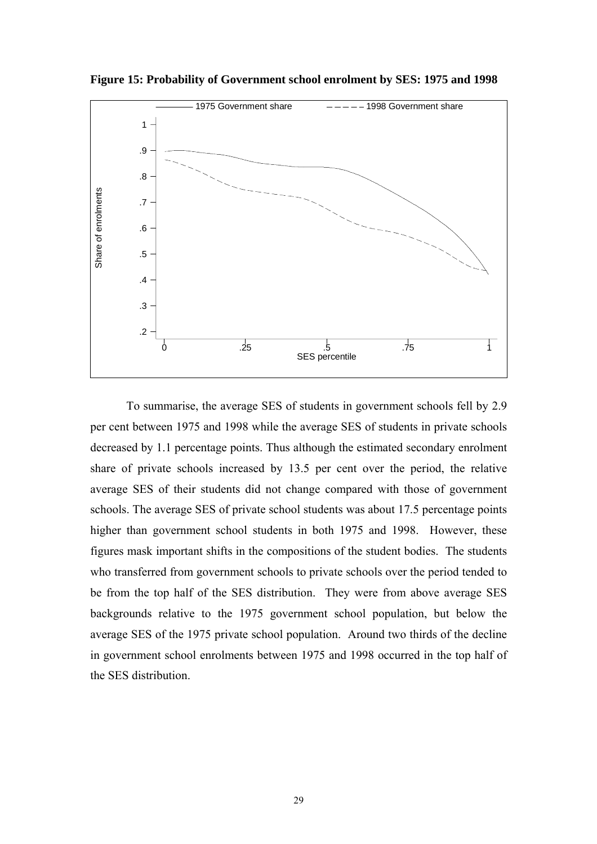

**Figure 15: Probability of Government school enrolment by SES: 1975 and 1998** 

To summarise, the average SES of students in government schools fell by 2.9 per cent between 1975 and 1998 while the average SES of students in private schools decreased by 1.1 percentage points. Thus although the estimated secondary enrolment share of private schools increased by 13.5 per cent over the period, the relative average SES of their students did not change compared with those of government schools. The average SES of private school students was about 17.5 percentage points higher than government school students in both 1975 and 1998. However, these figures mask important shifts in the compositions of the student bodies. The students who transferred from government schools to private schools over the period tended to be from the top half of the SES distribution. They were from above average SES backgrounds relative to the 1975 government school population, but below the average SES of the 1975 private school population. Around two thirds of the decline in government school enrolments between 1975 and 1998 occurred in the top half of the SES distribution.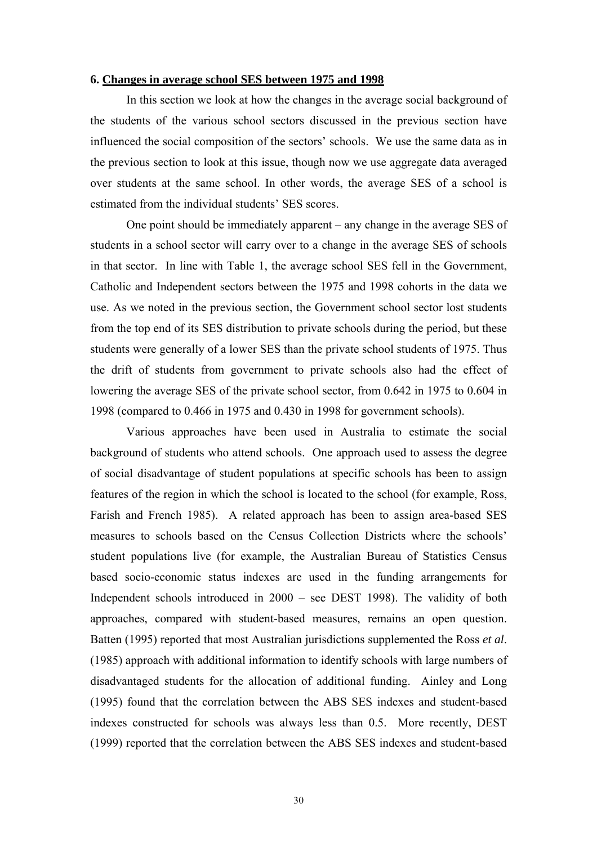#### **6. Changes in average school SES between 1975 and 1998**

In this section we look at how the changes in the average social background of the students of the various school sectors discussed in the previous section have influenced the social composition of the sectors' schools. We use the same data as in the previous section to look at this issue, though now we use aggregate data averaged over students at the same school. In other words, the average SES of a school is estimated from the individual students' SES scores.

One point should be immediately apparent – any change in the average SES of students in a school sector will carry over to a change in the average SES of schools in that sector. In line with Table 1, the average school SES fell in the Government, Catholic and Independent sectors between the 1975 and 1998 cohorts in the data we use. As we noted in the previous section, the Government school sector lost students from the top end of its SES distribution to private schools during the period, but these students were generally of a lower SES than the private school students of 1975. Thus the drift of students from government to private schools also had the effect of lowering the average SES of the private school sector, from 0.642 in 1975 to 0.604 in 1998 (compared to 0.466 in 1975 and 0.430 in 1998 for government schools).

Various approaches have been used in Australia to estimate the social background of students who attend schools. One approach used to assess the degree of social disadvantage of student populations at specific schools has been to assign features of the region in which the school is located to the school (for example, Ross, Farish and French 1985). A related approach has been to assign area-based SES measures to schools based on the Census Collection Districts where the schools' student populations live (for example, the Australian Bureau of Statistics Census based socio-economic status indexes are used in the funding arrangements for Independent schools introduced in 2000 – see DEST 1998). The validity of both approaches, compared with student-based measures, remains an open question. Batten (1995) reported that most Australian jurisdictions supplemented the Ross *et al*. (1985) approach with additional information to identify schools with large numbers of disadvantaged students for the allocation of additional funding. Ainley and Long (1995) found that the correlation between the ABS SES indexes and student-based indexes constructed for schools was always less than 0.5. More recently, DEST (1999) reported that the correlation between the ABS SES indexes and student-based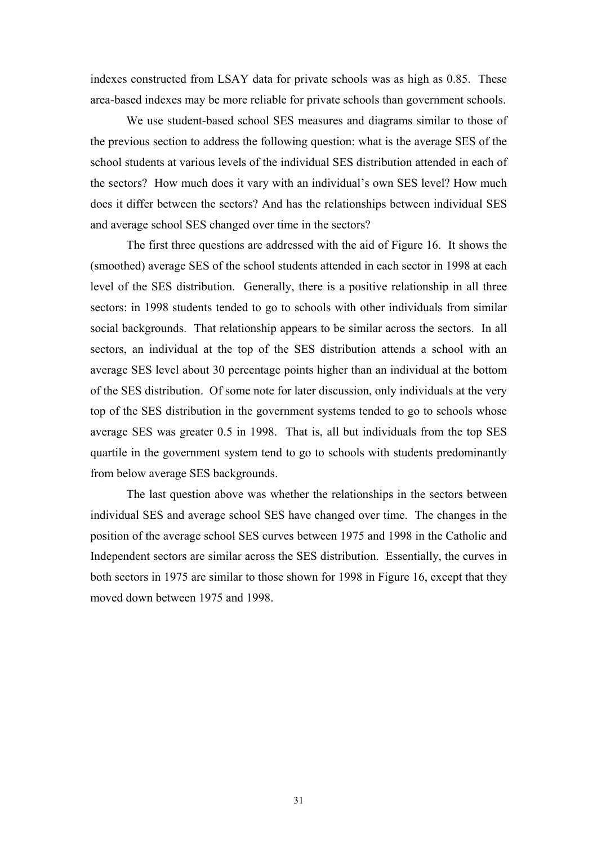indexes constructed from LSAY data for private schools was as high as 0.85. These area-based indexes may be more reliable for private schools than government schools.

We use student-based school SES measures and diagrams similar to those of the previous section to address the following question: what is the average SES of the school students at various levels of the individual SES distribution attended in each of the sectors? How much does it vary with an individual's own SES level? How much does it differ between the sectors? And has the relationships between individual SES and average school SES changed over time in the sectors?

The first three questions are addressed with the aid of Figure 16. It shows the (smoothed) average SES of the school students attended in each sector in 1998 at each level of the SES distribution. Generally, there is a positive relationship in all three sectors: in 1998 students tended to go to schools with other individuals from similar social backgrounds. That relationship appears to be similar across the sectors. In all sectors, an individual at the top of the SES distribution attends a school with an average SES level about 30 percentage points higher than an individual at the bottom of the SES distribution. Of some note for later discussion, only individuals at the very top of the SES distribution in the government systems tended to go to schools whose average SES was greater 0.5 in 1998. That is, all but individuals from the top SES quartile in the government system tend to go to schools with students predominantly from below average SES backgrounds.

The last question above was whether the relationships in the sectors between individual SES and average school SES have changed over time. The changes in the position of the average school SES curves between 1975 and 1998 in the Catholic and Independent sectors are similar across the SES distribution. Essentially, the curves in both sectors in 1975 are similar to those shown for 1998 in Figure 16, except that they moved down between 1975 and 1998.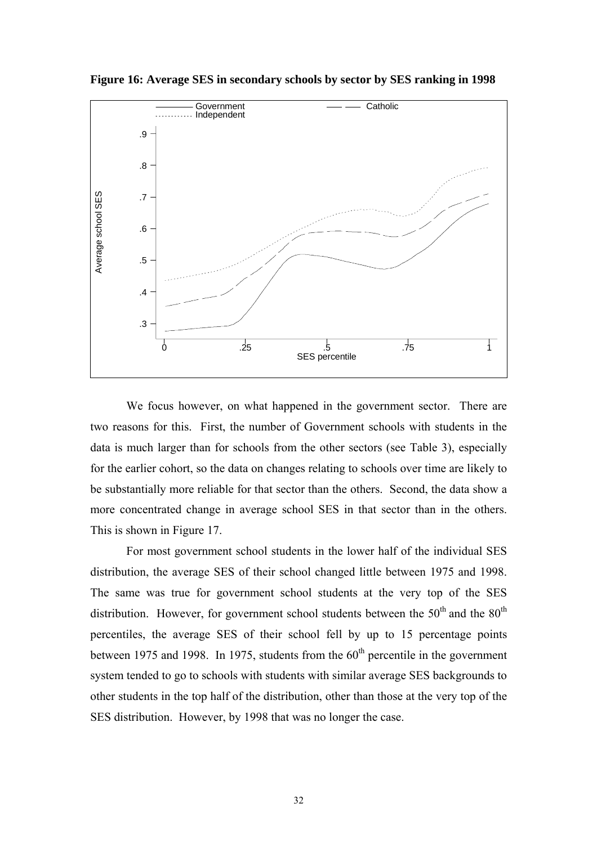

**Figure 16: Average SES in secondary schools by sector by SES ranking in 1998** 

We focus however, on what happened in the government sector. There are two reasons for this. First, the number of Government schools with students in the data is much larger than for schools from the other sectors (see Table 3), especially for the earlier cohort, so the data on changes relating to schools over time are likely to be substantially more reliable for that sector than the others. Second, the data show a more concentrated change in average school SES in that sector than in the others. This is shown in Figure 17.

For most government school students in the lower half of the individual SES distribution, the average SES of their school changed little between 1975 and 1998. The same was true for government school students at the very top of the SES distribution. However, for government school students between the  $50<sup>th</sup>$  and the  $80<sup>th</sup>$ percentiles, the average SES of their school fell by up to 15 percentage points between 1975 and 1998. In 1975, students from the  $60<sup>th</sup>$  percentile in the government system tended to go to schools with students with similar average SES backgrounds to other students in the top half of the distribution, other than those at the very top of the SES distribution. However, by 1998 that was no longer the case.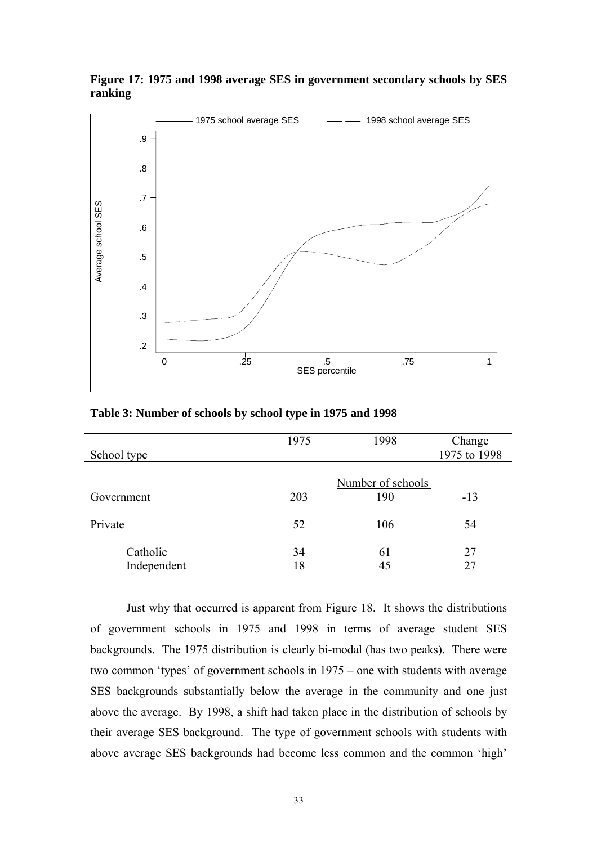

#### **Figure 17: 1975 and 1998 average SES in government secondary schools by SES ranking**

|             | 1975 | 1998              | Change       |
|-------------|------|-------------------|--------------|
| School type |      |                   | 1975 to 1998 |
|             |      |                   |              |
|             |      | Number of schools |              |
| Government  | 203  | 190               | $-13$        |
|             |      |                   |              |
| Private     | 52   | 106               | 54           |
|             |      |                   |              |
| Catholic    | 34   | 61                | 27           |
| Independent | 18   | 45                | 27           |
|             |      |                   |              |

#### **Table 3: Number of schools by school type in 1975 and 1998**

Just why that occurred is apparent from Figure 18. It shows the distributions of government schools in 1975 and 1998 in terms of average student SES backgrounds. The 1975 distribution is clearly bi-modal (has two peaks). There were two common 'types' of government schools in 1975 – one with students with average SES backgrounds substantially below the average in the community and one just above the average. By 1998, a shift had taken place in the distribution of schools by their average SES background. The type of government schools with students with above average SES backgrounds had become less common and the common 'high'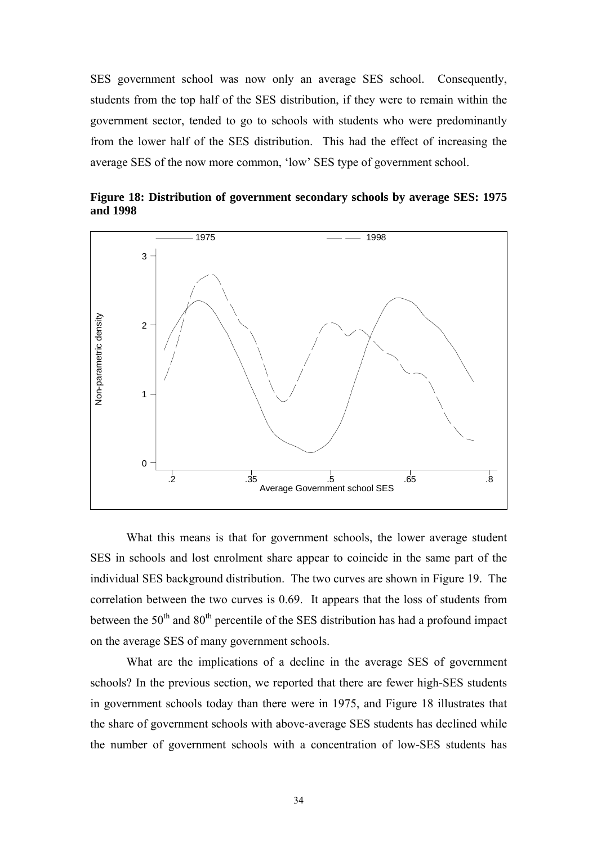SES government school was now only an average SES school. Consequently, students from the top half of the SES distribution, if they were to remain within the government sector, tended to go to schools with students who were predominantly from the lower half of the SES distribution. This had the effect of increasing the average SES of the now more common, 'low' SES type of government school.



**Figure 18: Distribution of government secondary schools by average SES: 1975 and 1998** 

What this means is that for government schools, the lower average student SES in schools and lost enrolment share appear to coincide in the same part of the individual SES background distribution. The two curves are shown in Figure 19. The correlation between the two curves is 0.69. It appears that the loss of students from between the  $50<sup>th</sup>$  and  $80<sup>th</sup>$  percentile of the SES distribution has had a profound impact on the average SES of many government schools.

What are the implications of a decline in the average SES of government schools? In the previous section, we reported that there are fewer high-SES students in government schools today than there were in 1975, and Figure 18 illustrates that the share of government schools with above-average SES students has declined while the number of government schools with a concentration of low-SES students has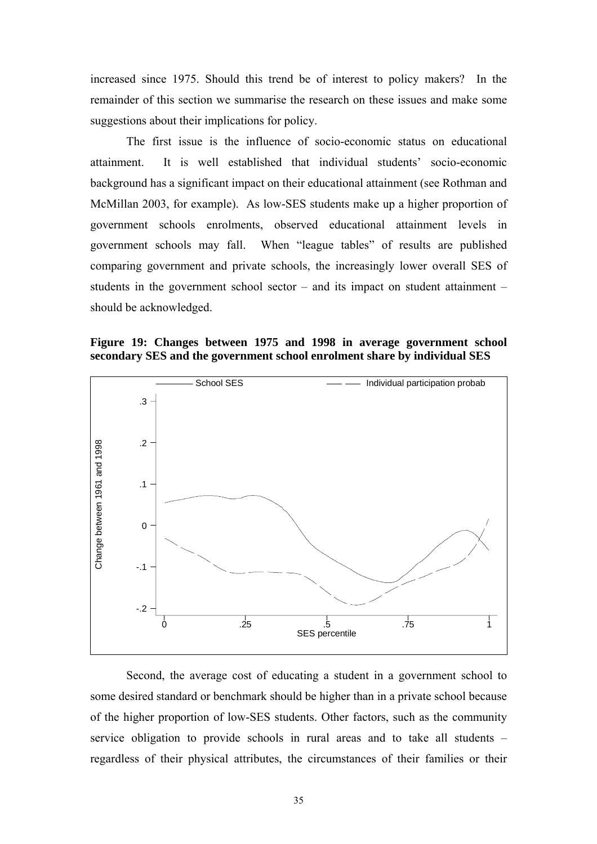increased since 1975. Should this trend be of interest to policy makers? In the remainder of this section we summarise the research on these issues and make some suggestions about their implications for policy.

The first issue is the influence of socio-economic status on educational attainment. It is well established that individual students' socio-economic background has a significant impact on their educational attainment (see Rothman and McMillan 2003, for example).As low-SES students make up a higher proportion of government schools enrolments, observed educational attainment levels in government schools may fall. When "league tables" of results are published comparing government and private schools, the increasingly lower overall SES of students in the government school sector – and its impact on student attainment – should be acknowledged.

**Figure 19: Changes between 1975 and 1998 in average government school secondary SES and the government school enrolment share by individual SES** 



Second, the average cost of educating a student in a government school to some desired standard or benchmark should be higher than in a private school because of the higher proportion of low-SES students. Other factors, such as the community service obligation to provide schools in rural areas and to take all students – regardless of their physical attributes, the circumstances of their families or their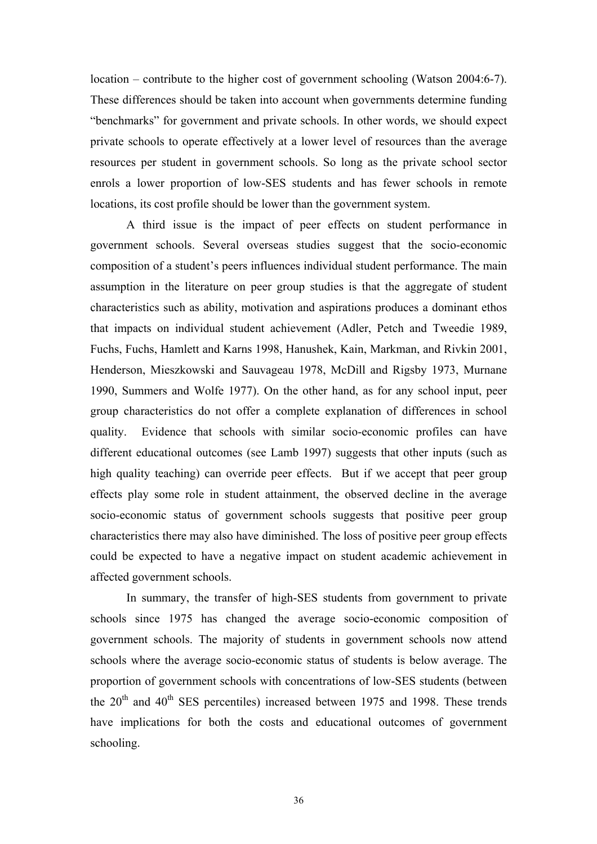location – contribute to the higher cost of government schooling (Watson 2004:6-7). These differences should be taken into account when governments determine funding "benchmarks" for government and private schools. In other words, we should expect private schools to operate effectively at a lower level of resources than the average resources per student in government schools. So long as the private school sector enrols a lower proportion of low-SES students and has fewer schools in remote locations, its cost profile should be lower than the government system.

A third issue is the impact of peer effects on student performance in government schools. Several overseas studies suggest that the socio-economic composition of a student's peers influences individual student performance. The main assumption in the literature on peer group studies is that the aggregate of student characteristics such as ability, motivation and aspirations produces a dominant ethos that impacts on individual student achievement (Adler, Petch and Tweedie 1989, Fuchs, Fuchs, Hamlett and Karns 1998, Hanushek, Kain, Markman, and Rivkin 2001, Henderson, Mieszkowski and Sauvageau 1978, McDill and Rigsby 1973, Murnane 1990, Summers and Wolfe 1977). On the other hand, as for any school input, peer group characteristics do not offer a complete explanation of differences in school quality. Evidence that schools with similar socio-economic profiles can have different educational outcomes (see Lamb 1997) suggests that other inputs (such as high quality teaching) can override peer effects. But if we accept that peer group effects play some role in student attainment, the observed decline in the average socio-economic status of government schools suggests that positive peer group characteristics there may also have diminished. The loss of positive peer group effects could be expected to have a negative impact on student academic achievement in affected government schools.

In summary, the transfer of high-SES students from government to private schools since 1975 has changed the average socio-economic composition of government schools. The majority of students in government schools now attend schools where the average socio-economic status of students is below average. The proportion of government schools with concentrations of low-SES students (between the  $20<sup>th</sup>$  and  $40<sup>th</sup>$  SES percentiles) increased between 1975 and 1998. These trends have implications for both the costs and educational outcomes of government schooling.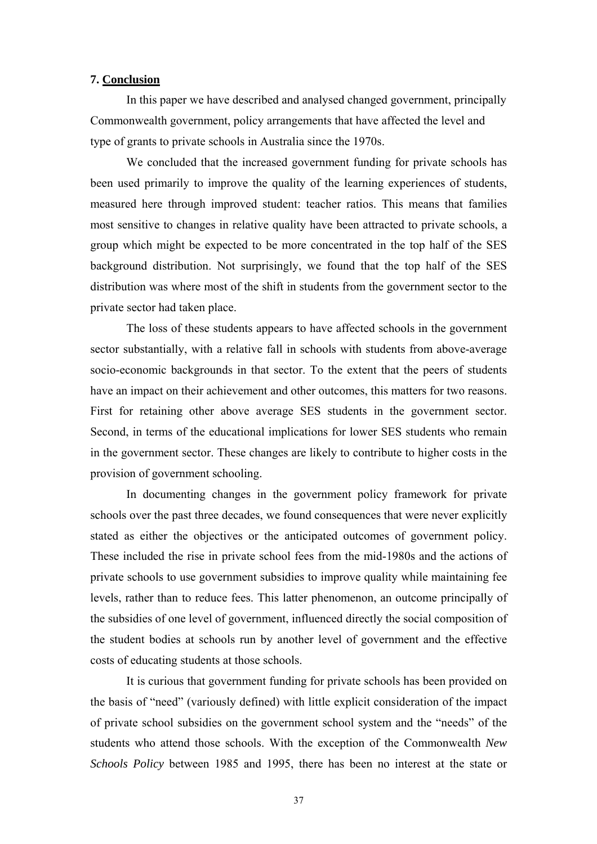#### **7. Conclusion**

In this paper we have described and analysed changed government, principally Commonwealth government, policy arrangements that have affected the level and type of grants to private schools in Australia since the 1970s.

We concluded that the increased government funding for private schools has been used primarily to improve the quality of the learning experiences of students, measured here through improved student: teacher ratios. This means that families most sensitive to changes in relative quality have been attracted to private schools, a group which might be expected to be more concentrated in the top half of the SES background distribution. Not surprisingly, we found that the top half of the SES distribution was where most of the shift in students from the government sector to the private sector had taken place.

The loss of these students appears to have affected schools in the government sector substantially, with a relative fall in schools with students from above-average socio-economic backgrounds in that sector. To the extent that the peers of students have an impact on their achievement and other outcomes, this matters for two reasons. First for retaining other above average SES students in the government sector. Second, in terms of the educational implications for lower SES students who remain in the government sector. These changes are likely to contribute to higher costs in the provision of government schooling.

In documenting changes in the government policy framework for private schools over the past three decades, we found consequences that were never explicitly stated as either the objectives or the anticipated outcomes of government policy. These included the rise in private school fees from the mid-1980s and the actions of private schools to use government subsidies to improve quality while maintaining fee levels, rather than to reduce fees. This latter phenomenon, an outcome principally of the subsidies of one level of government, influenced directly the social composition of the student bodies at schools run by another level of government and the effective costs of educating students at those schools.

It is curious that government funding for private schools has been provided on the basis of "need" (variously defined) with little explicit consideration of the impact of private school subsidies on the government school system and the "needs" of the students who attend those schools. With the exception of the Commonwealth *New Schools Policy* between 1985 and 1995, there has been no interest at the state or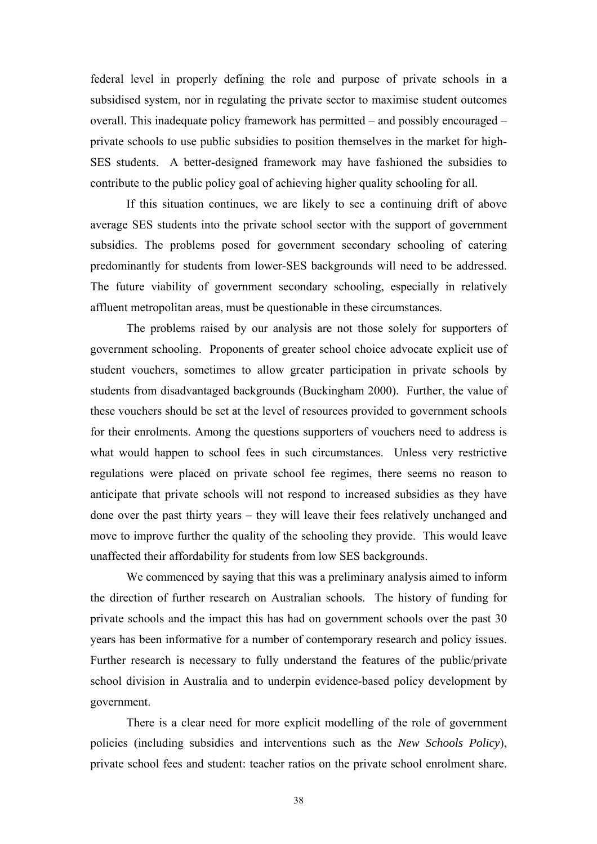federal level in properly defining the role and purpose of private schools in a subsidised system, nor in regulating the private sector to maximise student outcomes overall. This inadequate policy framework has permitted – and possibly encouraged – private schools to use public subsidies to position themselves in the market for high-SES students. A better-designed framework may have fashioned the subsidies to contribute to the public policy goal of achieving higher quality schooling for all.

If this situation continues, we are likely to see a continuing drift of above average SES students into the private school sector with the support of government subsidies. The problems posed for government secondary schooling of catering predominantly for students from lower-SES backgrounds will need to be addressed. The future viability of government secondary schooling, especially in relatively affluent metropolitan areas, must be questionable in these circumstances.

The problems raised by our analysis are not those solely for supporters of government schooling. Proponents of greater school choice advocate explicit use of student vouchers, sometimes to allow greater participation in private schools by students from disadvantaged backgrounds (Buckingham 2000). Further, the value of these vouchers should be set at the level of resources provided to government schools for their enrolments. Among the questions supporters of vouchers need to address is what would happen to school fees in such circumstances. Unless very restrictive regulations were placed on private school fee regimes, there seems no reason to anticipate that private schools will not respond to increased subsidies as they have done over the past thirty years – they will leave their fees relatively unchanged and move to improve further the quality of the schooling they provide. This would leave unaffected their affordability for students from low SES backgrounds.

We commenced by saying that this was a preliminary analysis aimed to inform the direction of further research on Australian schools. The history of funding for private schools and the impact this has had on government schools over the past 30 years has been informative for a number of contemporary research and policy issues. Further research is necessary to fully understand the features of the public/private school division in Australia and to underpin evidence-based policy development by government.

There is a clear need for more explicit modelling of the role of government policies (including subsidies and interventions such as the *New Schools Policy*), private school fees and student: teacher ratios on the private school enrolment share.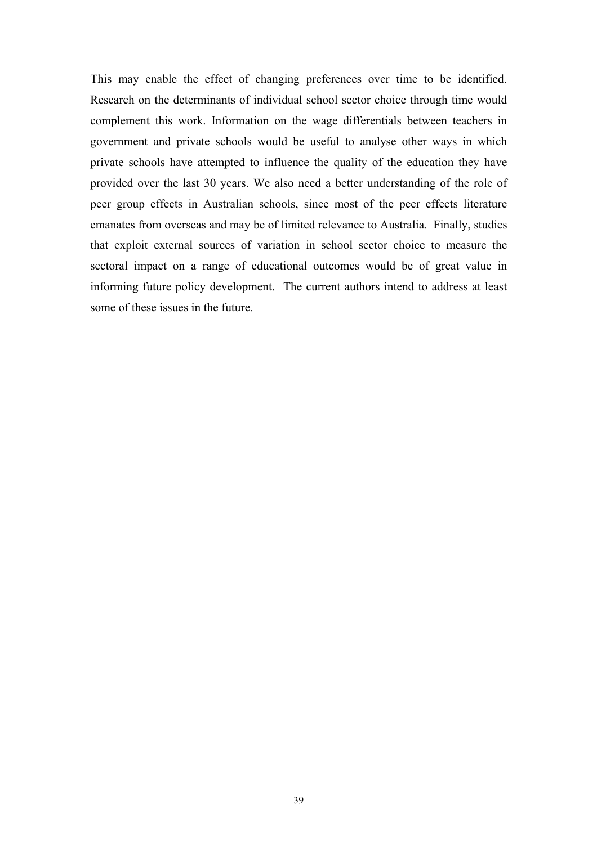This may enable the effect of changing preferences over time to be identified. Research on the determinants of individual school sector choice through time would complement this work. Information on the wage differentials between teachers in government and private schools would be useful to analyse other ways in which private schools have attempted to influence the quality of the education they have provided over the last 30 years. We also need a better understanding of the role of peer group effects in Australian schools, since most of the peer effects literature emanates from overseas and may be of limited relevance to Australia. Finally, studies that exploit external sources of variation in school sector choice to measure the sectoral impact on a range of educational outcomes would be of great value in informing future policy development. The current authors intend to address at least some of these issues in the future.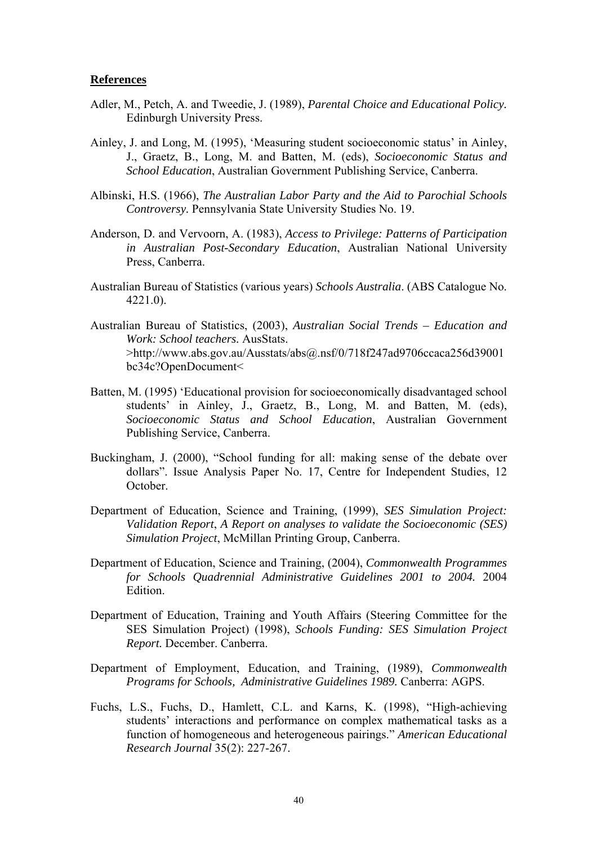#### **References**

- Adler, M., Petch, A. and Tweedie, J. (1989), *Parental Choice and Educational Policy.* Edinburgh University Press.
- Ainley, J. and Long, M. (1995), 'Measuring student socioeconomic status' in Ainley, J., Graetz, B., Long, M. and Batten, M. (eds), *Socioeconomic Status and School Education*, Australian Government Publishing Service, Canberra.
- Albinski, H.S. (1966), *The Australian Labor Party and the Aid to Parochial Schools Controversy.* Pennsylvania State University Studies No. 19.
- Anderson, D. and Vervoorn, A. (1983), *Access to Privilege: Patterns of Participation in Australian Post-Secondary Education*, Australian National University Press, Canberra.
- Australian Bureau of Statistics (various years) *Schools Australia*. (ABS Catalogue No. 4221.0).
- Australian Bureau of Statistics, (2003), *Australian Social Trends Education and Work: School teachers.* AusStats. >http://www.abs.gov.au/Ausstats/abs@.nsf/0/718f247ad9706ccaca256d39001 bc34c?OpenDocument<
- Batten, M. (1995) 'Educational provision for socioeconomically disadvantaged school students' in Ainley, J., Graetz, B., Long, M. and Batten, M. (eds), *Socioeconomic Status and School Education*, Australian Government Publishing Service, Canberra.
- Buckingham, J. (2000), "School funding for all: making sense of the debate over dollars". Issue Analysis Paper No. 17, Centre for Independent Studies, 12 October.
- Department of Education, Science and Training, (1999), *SES Simulation Project: Validation Report*, *A Report on analyses to validate the Socioeconomic (SES) Simulation Project*, McMillan Printing Group, Canberra.
- Department of Education, Science and Training, (2004), *Commonwealth Programmes for Schools Quadrennial Administrative Guidelines 2001 to 2004.* 2004 **Edition**
- Department of Education, Training and Youth Affairs (Steering Committee for the SES Simulation Project) (1998), *Schools Funding: SES Simulation Project Report.* December. Canberra.
- Department of Employment, Education, and Training, (1989), *Commonwealth Programs for Schools, Administrative Guidelines 1989.* Canberra: AGPS.
- Fuchs, L.S., Fuchs, D., Hamlett, C.L. and Karns, K. (1998), "High-achieving students' interactions and performance on complex mathematical tasks as a function of homogeneous and heterogeneous pairings." *American Educational Research Journal* 35(2): 227-267.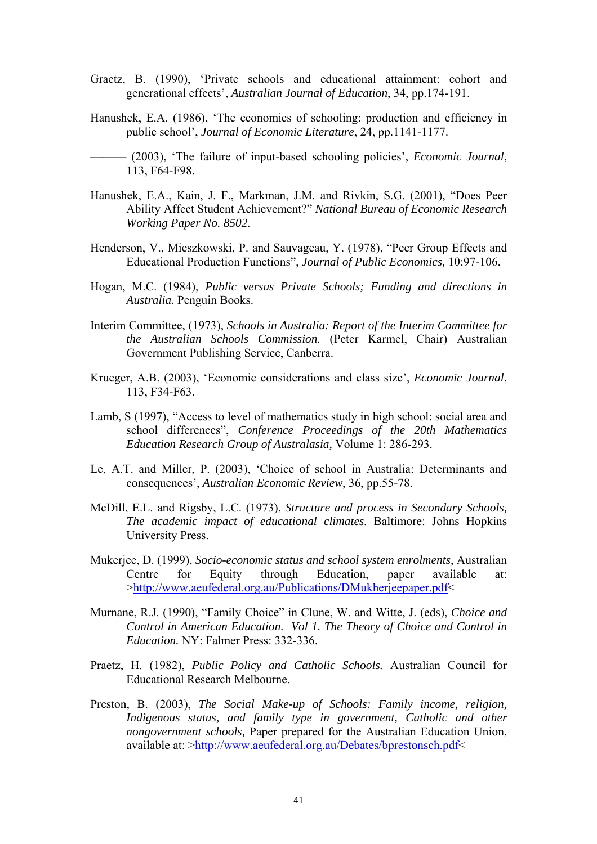- Graetz, B. (1990), 'Private schools and educational attainment: cohort and generational effects', *Australian Journal of Education*, 34, pp.174-191.
- Hanushek, E.A. (1986), 'The economics of schooling: production and efficiency in public school', *Journal of Economic Literature*, 24, pp.1141-1177.
- ——— (2003), 'The failure of input-based schooling policies', *Economic Journal*, 113, F64-F98.
- Hanushek, E.A., Kain, J. F., Markman, J.M. and Rivkin, S.G. (2001), "Does Peer Ability Affect Student Achievement?" *National Bureau of Economic Research Working Paper No. 8502.*
- Henderson, V., Mieszkowski, P. and Sauvageau, Y. (1978), "Peer Group Effects and Educational Production Functions", *Journal of Public Economics,* 10:97-106.
- Hogan, M.C. (1984), *Public versus Private Schools; Funding and directions in Australia.* Penguin Books.
- Interim Committee, (1973), *Schools in Australia: Report of the Interim Committee for the Australian Schools Commission.* (Peter Karmel, Chair) Australian Government Publishing Service, Canberra.
- Krueger, A.B. (2003), 'Economic considerations and class size', *Economic Journal*, 113, F34-F63.
- Lamb, S (1997), "Access to level of mathematics study in high school: social area and school differences", *Conference Proceedings of the 20th Mathematics Education Research Group of Australasia,* Volume 1: 286-293.
- Le, A.T. and Miller, P. (2003), 'Choice of school in Australia: Determinants and consequences', *Australian Economic Review*, 36, pp.55-78.
- McDill, E.L. and Rigsby, L.C. (1973), *Structure and process in Secondary Schools, The academic impact of educational climates*. Baltimore: Johns Hopkins University Press.
- Mukerjee, D. (1999), *Socio-economic status and school system enrolments*, Australian Centre for Equity through Education, paper available at: >[http://www.aeufederal.org.au/Publications/DMukherjeepaper.pdf<](http://www.aeufederal.org.au/Publications/DMukherjeepaper.pdf)
- Murnane, R.J. (1990), "Family Choice" in Clune, W. and Witte, J. (eds), *Choice and Control in American Education. Vol 1. The Theory of Choice and Control in Education.* NY: Falmer Press: 332-336.
- Praetz, H. (1982), *Public Policy and Catholic Schools.* Australian Council for Educational Research Melbourne.
- Preston, B. (2003), *The Social Make-up of Schools: Family income, religion, Indigenous status, and family type in government, Catholic and other nongovernment schools,* Paper prepared for the Australian Education Union, available at: [>http://www.aeufederal.org.au/Debates/bprestonsch.pdf](http://www.aeufederal.org.au/Debates/bprestonsch.pdf)<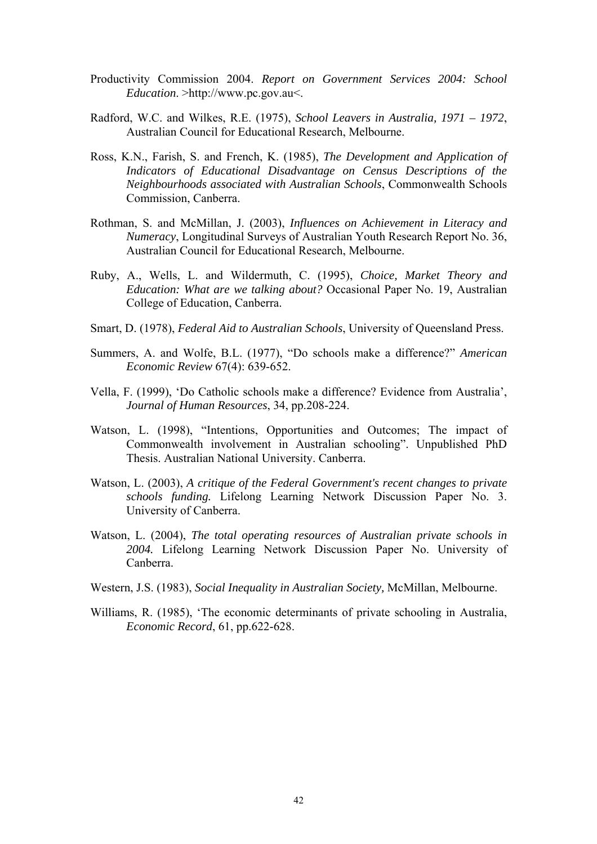- Productivity Commission 2004. *Report on Government Services 2004: School Education*. >http://www.pc.gov.au<.
- Radford, W.C. and Wilkes, R.E. (1975), *School Leavers in Australia, 1971 1972*, Australian Council for Educational Research, Melbourne.
- Ross, K.N., Farish, S. and French, K. (1985), *The Development and Application of Indicators of Educational Disadvantage on Census Descriptions of the Neighbourhoods associated with Australian Schools*, Commonwealth Schools Commission, Canberra.
- Rothman, S. and McMillan, J. (2003), *Influences on Achievement in Literacy and Numeracy*, Longitudinal Surveys of Australian Youth Research Report No. 36, Australian Council for Educational Research, Melbourne.
- Ruby, A., Wells, L. and Wildermuth, C. (1995), *Choice, Market Theory and Education: What are we talking about?* Occasional Paper No. 19, Australian College of Education, Canberra.
- Smart, D. (1978), *Federal Aid to Australian Schools*, University of Queensland Press.
- Summers, A. and Wolfe, B.L. (1977), "Do schools make a difference?" *American Economic Review* 67(4): 639-652.
- Vella, F. (1999), 'Do Catholic schools make a difference? Evidence from Australia', *Journal of Human Resources*, 34, pp.208-224.
- Watson, L. (1998), "Intentions, Opportunities and Outcomes; The impact of Commonwealth involvement in Australian schooling". Unpublished PhD Thesis. Australian National University. Canberra.
- Watson, L. (2003), *A critique of the Federal Government's recent changes to private schools funding.* Lifelong Learning Network Discussion Paper No. 3. University of Canberra.
- Watson, L. (2004), *The total operating resources of Australian private schools in 2004.* Lifelong Learning Network Discussion Paper No. University of Canberra.
- Western, J.S. (1983), *Social Inequality in Australian Society,* McMillan, Melbourne.
- Williams, R. (1985), 'The economic determinants of private schooling in Australia, *Economic Record*, 61, pp.622-628.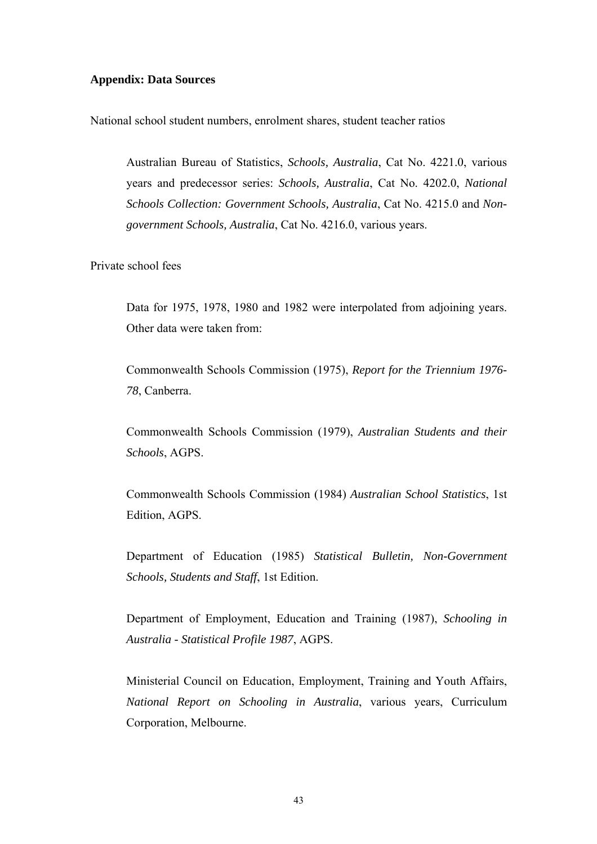#### **Appendix: Data Sources**

National school student numbers, enrolment shares, student teacher ratios

Australian Bureau of Statistics, *Schools, Australia*, Cat No. 4221.0, various years and predecessor series: *Schools, Australia*, Cat No. 4202.0, *National Schools Collection: Government Schools, Australia*, Cat No. 4215.0 and *Nongovernment Schools, Australia*, Cat No. 4216.0, various years.

Private school fees

Data for 1975, 1978, 1980 and 1982 were interpolated from adjoining years. Other data were taken from:

Commonwealth Schools Commission (1975), *Report for the Triennium 1976- 78*, Canberra.

Commonwealth Schools Commission (1979), *Australian Students and their Schools*, AGPS.

Commonwealth Schools Commission (1984) *Australian School Statistics*, 1st Edition, AGPS.

Department of Education (1985) *Statistical Bulletin, Non-Government Schools, Students and Staff*, 1st Edition.

Department of Employment, Education and Training (1987), *Schooling in Australia - Statistical Profile 1987*, AGPS.

Ministerial Council on Education, Employment, Training and Youth Affairs, *National Report on Schooling in Australia*, various years, Curriculum Corporation, Melbourne.